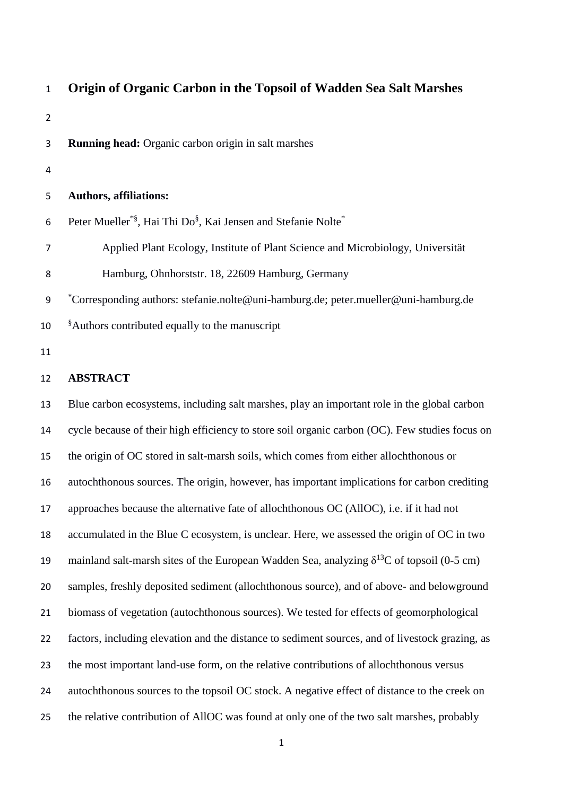| $\mathbf{1}$   | Origin of Organic Carbon in the Topsoil of Wadden Sea Salt Marshes                                  |
|----------------|-----------------------------------------------------------------------------------------------------|
| $\overline{2}$ |                                                                                                     |
| 3              | <b>Running head:</b> Organic carbon origin in salt marshes                                          |
| 4              |                                                                                                     |
| 5              | <b>Authors, affiliations:</b>                                                                       |
| 6              | Peter Mueller*§, Hai Thi Do§, Kai Jensen and Stefanie Nolte*                                        |
| 7              | Applied Plant Ecology, Institute of Plant Science and Microbiology, Universität                     |
| 8              | Hamburg, Ohnhorststr. 18, 22609 Hamburg, Germany                                                    |
| 9              | *Corresponding authors: stefanie.nolte@uni-hamburg.de; peter.mueller@uni-hamburg.de                 |
| 10             | <sup>§</sup> Authors contributed equally to the manuscript                                          |
| 11             |                                                                                                     |
| 12             | <b>ABSTRACT</b>                                                                                     |
| 13             | Blue carbon ecosystems, including salt marshes, play an important role in the global carbon         |
| 14             | cycle because of their high efficiency to store soil organic carbon (OC). Few studies focus on      |
| 15             | the origin of OC stored in salt-marsh soils, which comes from either allochthonous or               |
| 16             | autochthonous sources. The origin, however, has important implications for carbon crediting         |
| 17             | approaches because the alternative fate of allochthonous OC (AllOC), i.e. if it had not             |
| 18             | accumulated in the Blue C ecosystem, is unclear. Here, we assessed the origin of OC in two          |
| 19             | mainland salt-marsh sites of the European Wadden Sea, analyzing $\delta^{13}$ C of topsoil (0-5 cm) |
| 20             | samples, freshly deposited sediment (allochthonous source), and of above- and belowground           |
| 21             | biomass of vegetation (autochthonous sources). We tested for effects of geomorphological            |
| 22             | factors, including elevation and the distance to sediment sources, and of livestock grazing, as     |
| 23             | the most important land-use form, on the relative contributions of allochthonous versus             |
| 24             | autochthonous sources to the topsoil OC stock. A negative effect of distance to the creek on        |
| 25             | the relative contribution of AllOC was found at only one of the two salt marshes, probably          |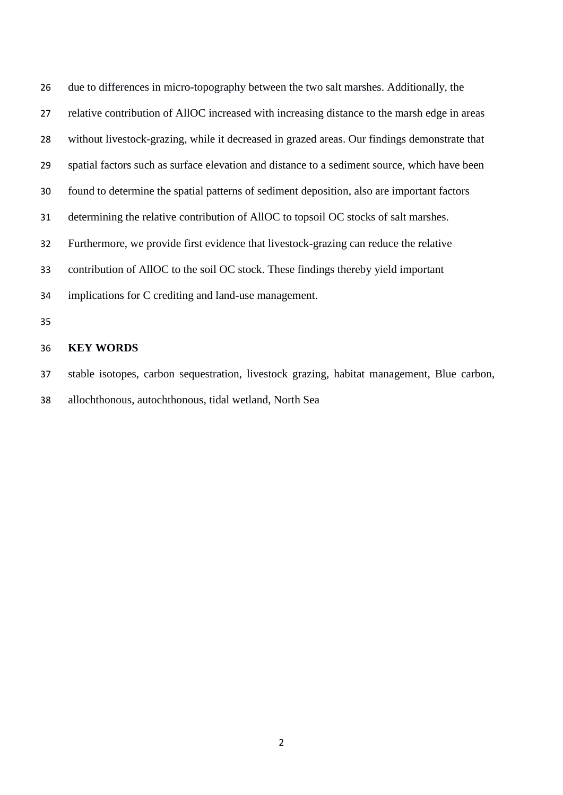| 26 | due to differences in micro-topography between the two salt marshes. Additionally, the       |
|----|----------------------------------------------------------------------------------------------|
| 27 | relative contribution of AllOC increased with increasing distance to the marsh edge in areas |
| 28 | without livestock-grazing, while it decreased in grazed areas. Our findings demonstrate that |
| 29 | spatial factors such as surface elevation and distance to a sediment source, which have been |
| 30 | found to determine the spatial patterns of sediment deposition, also are important factors   |
| 31 | determining the relative contribution of AllOC to topsoil OC stocks of salt marshes.         |
| 32 | Furthermore, we provide first evidence that livestock-grazing can reduce the relative        |
| 33 | contribution of AllOC to the soil OC stock. These findings thereby yield important           |
| 34 | implications for C crediting and land-use management.                                        |
| 35 |                                                                                              |
| 36 | <b>KEY WORDS</b>                                                                             |
| 37 | stable isotopes, carbon sequestration, livestock grazing, habitat management, Blue carbon,   |

allochthonous, autochthonous, tidal wetland, North Sea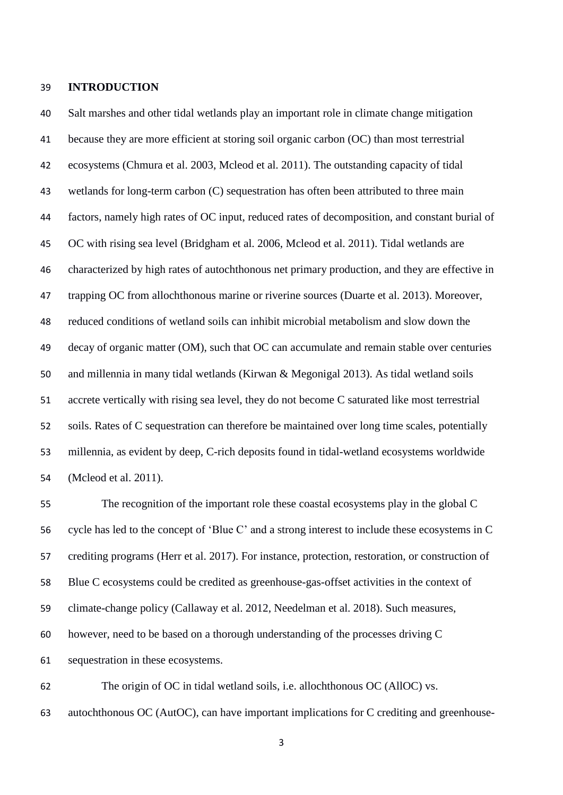## **INTRODUCTION**

 Salt marshes and other tidal wetlands play an important role in climate change mitigation because they are more efficient at storing soil organic carbon (OC) than most terrestrial ecosystems (Chmura et al. 2003, Mcleod et al. 2011). The outstanding capacity of tidal wetlands for long-term carbon (C) sequestration has often been attributed to three main factors, namely high rates of OC input, reduced rates of decomposition, and constant burial of OC with rising sea level (Bridgham et al. 2006, Mcleod et al. 2011). Tidal wetlands are characterized by high rates of autochthonous net primary production, and they are effective in trapping OC from allochthonous marine or riverine sources (Duarte et al. 2013). Moreover, reduced conditions of wetland soils can inhibit microbial metabolism and slow down the decay of organic matter (OM), such that OC can accumulate and remain stable over centuries and millennia in many tidal wetlands (Kirwan & Megonigal 2013). As tidal wetland soils accrete vertically with rising sea level, they do not become C saturated like most terrestrial soils. Rates of C sequestration can therefore be maintained over long time scales, potentially millennia, as evident by deep, C-rich deposits found in tidal-wetland ecosystems worldwide (Mcleod et al. 2011).

 The recognition of the important role these coastal ecosystems play in the global C cycle has led to the concept of 'Blue C' and a strong interest to include these ecosystems in C crediting programs (Herr et al. 2017). For instance, protection, restoration, or construction of Blue C ecosystems could be credited as greenhouse-gas-offset activities in the context of climate-change policy (Callaway et al. 2012, Needelman et al. 2018). Such measures, however, need to be based on a thorough understanding of the processes driving C sequestration in these ecosystems.

 The origin of OC in tidal wetland soils, i.e. allochthonous OC (AllOC) vs. autochthonous OC (AutOC), can have important implications for C crediting and greenhouse-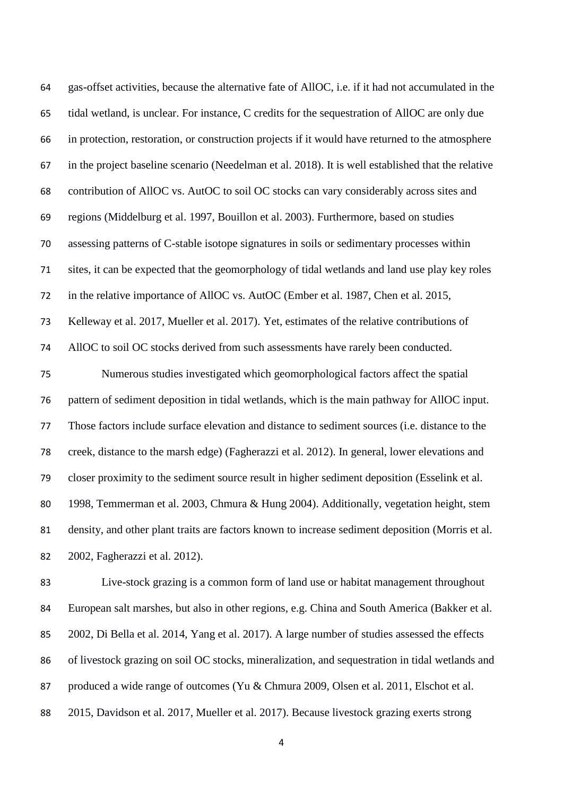| 64 | gas-offset activities, because the alternative fate of AllOC, i.e. if it had not accumulated in the |
|----|-----------------------------------------------------------------------------------------------------|
| 65 | tidal wetland, is unclear. For instance, C credits for the sequestration of AllOC are only due      |
| 66 | in protection, restoration, or construction projects if it would have returned to the atmosphere    |
| 67 | in the project baseline scenario (Needelman et al. 2018). It is well established that the relative  |
| 68 | contribution of AllOC vs. AutOC to soil OC stocks can vary considerably across sites and            |
| 69 | regions (Middelburg et al. 1997, Bouillon et al. 2003). Furthermore, based on studies               |
| 70 | assessing patterns of C-stable isotope signatures in soils or sedimentary processes within          |
| 71 | sites, it can be expected that the geomorphology of tidal wetlands and land use play key roles      |
| 72 | in the relative importance of AllOC vs. AutOC (Ember et al. 1987, Chen et al. 2015,                 |
| 73 | Kelleway et al. 2017, Mueller et al. 2017). Yet, estimates of the relative contributions of         |
| 74 | AllOC to soil OC stocks derived from such assessments have rarely been conducted.                   |
| 75 | Numerous studies investigated which geomorphological factors affect the spatial                     |
| 76 | pattern of sediment deposition in tidal wetlands, which is the main pathway for AllOC input.        |
| 77 | Those factors include surface elevation and distance to sediment sources (i.e. distance to the      |
| 78 | creek, distance to the marsh edge) (Fagherazzi et al. 2012). In general, lower elevations and       |
| 79 | closer proximity to the sediment source result in higher sediment deposition (Esselink et al.       |
| 80 | 1998, Temmerman et al. 2003, Chmura & Hung 2004). Additionally, vegetation height, stem             |
|    |                                                                                                     |

 density, and other plant traits are factors known to increase sediment deposition (Morris et al. 2002, Fagherazzi et al. 2012).

 Live-stock grazing is a common form of land use or habitat management throughout European salt marshes, but also in other regions, e.g. China and South America (Bakker et al. 2002, Di Bella et al. 2014, Yang et al. 2017). A large number of studies assessed the effects of livestock grazing on soil OC stocks, mineralization, and sequestration in tidal wetlands and produced a wide range of outcomes (Yu & Chmura 2009, Olsen et al. 2011, Elschot et al. 2015, Davidson et al. 2017, Mueller et al. 2017). Because livestock grazing exerts strong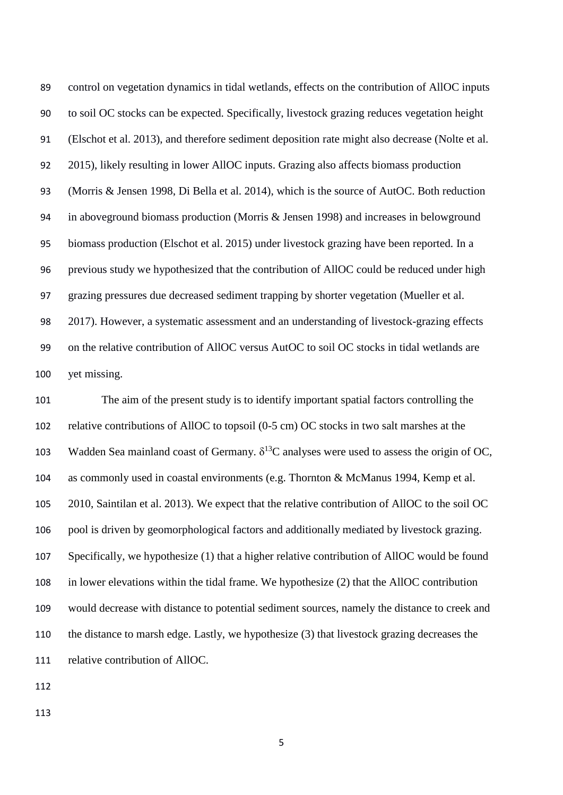control on vegetation dynamics in tidal wetlands, effects on the contribution of AllOC inputs to soil OC stocks can be expected. Specifically, livestock grazing reduces vegetation height (Elschot et al. 2013), and therefore sediment deposition rate might also decrease (Nolte et al. 2015), likely resulting in lower AllOC inputs. Grazing also affects biomass production (Morris & Jensen 1998, Di Bella et al. 2014), which is the source of AutOC. Both reduction in aboveground biomass production (Morris & Jensen 1998) and increases in belowground biomass production (Elschot et al. 2015) under livestock grazing have been reported. In a previous study we hypothesized that the contribution of AllOC could be reduced under high grazing pressures due decreased sediment trapping by shorter vegetation (Mueller et al. 2017). However, a systematic assessment and an understanding of livestock-grazing effects on the relative contribution of AllOC versus AutOC to soil OC stocks in tidal wetlands are yet missing.

 The aim of the present study is to identify important spatial factors controlling the relative contributions of AllOC to topsoil (0-5 cm) OC stocks in two salt marshes at the 103 Wadden Sea mainland coast of Germany.  $\delta^{13}$ C analyses were used to assess the origin of OC, as commonly used in coastal environments (e.g. Thornton & McManus 1994, Kemp et al. 2010, Saintilan et al. 2013). We expect that the relative contribution of AllOC to the soil OC pool is driven by geomorphological factors and additionally mediated by livestock grazing. Specifically, we hypothesize (1) that a higher relative contribution of AllOC would be found in lower elevations within the tidal frame. We hypothesize (2) that the AllOC contribution would decrease with distance to potential sediment sources, namely the distance to creek and the distance to marsh edge. Lastly, we hypothesize (3) that livestock grazing decreases the relative contribution of AllOC.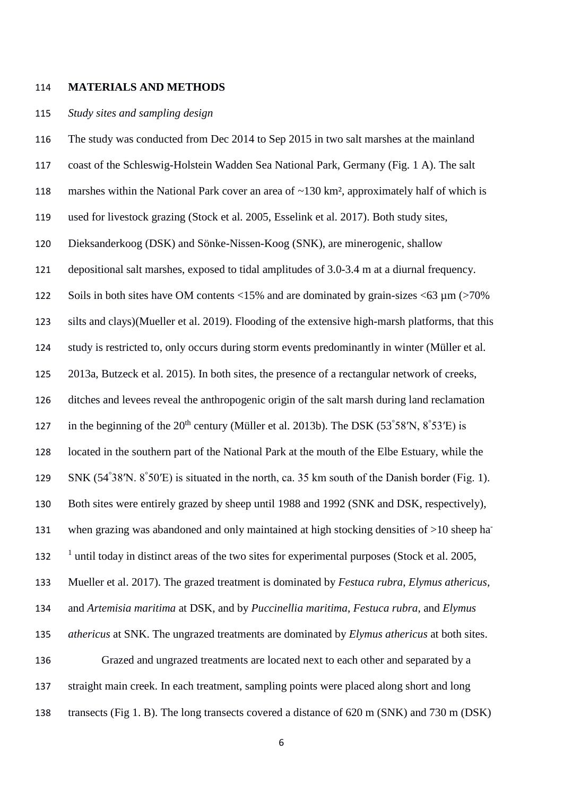#### **MATERIALS AND METHODS**

### *Study sites and sampling design*

 The study was conducted from Dec 2014 to Sep 2015 in two salt marshes at the mainland coast of the Schleswig-Holstein Wadden Sea National Park, Germany (Fig. 1 A). The salt marshes within the National Park cover an area of ~130 km², approximately half of which is used for livestock grazing (Stock et al. 2005, Esselink et al. 2017). Both study sites, Dieksanderkoog (DSK) and Sönke-Nissen-Koog (SNK), are minerogenic, shallow depositional salt marshes, exposed to tidal amplitudes of 3.0-3.4 m at a diurnal frequency. Soils in both sites have OM contents <15% and are dominated by grain-sizes <63 µm (>70% silts and clays)(Mueller et al. 2019). Flooding of the extensive high-marsh platforms, that this study is restricted to, only occurs during storm events predominantly in winter (Müller et al. 2013a, Butzeck et al. 2015). In both sites, the presence of a rectangular network of creeks, ditches and levees reveal the anthropogenic origin of the salt marsh during land reclamation 127 in the beginning of the  $20<sup>th</sup>$  century (Müller et al. 2013b). The DSK (53°58′N, 8°53′E) is located in the southern part of the National Park at the mouth of the Elbe Estuary, while the 129 SNK (54°38′N. 8°50′E) is situated in the north, ca. 35 km south of the Danish border (Fig. 1). Both sites were entirely grazed by sheep until 1988 and 1992 (SNK and DSK, respectively), when grazing was abandoned and only maintained at high stocking densities of  $>10$  sheep ha- <sup>1</sup> until today in distinct areas of the two sites for experimental purposes (Stock et al. 2005, Mueller et al. 2017). The grazed treatment is dominated by *Festuca rubra*, *Elymus athericus,* and *Artemisia maritima* at DSK, and by *Puccinellia maritima*, *Festuca rubra*, and *Elymus athericus* at SNK. The ungrazed treatments are dominated by *Elymus athericus* at both sites. Grazed and ungrazed treatments are located next to each other and separated by a straight main creek. In each treatment, sampling points were placed along short and long transects (Fig 1. B). The long transects covered a distance of 620 m (SNK) and 730 m (DSK)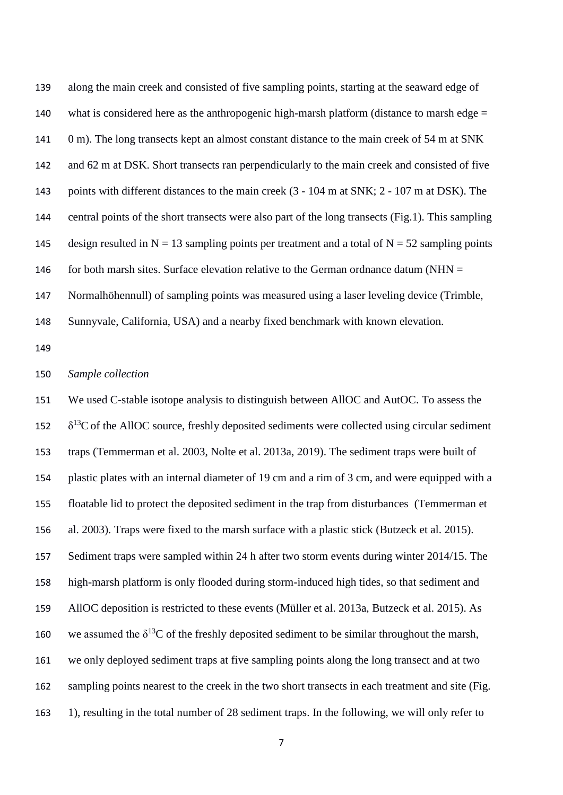along the main creek and consisted of five sampling points, starting at the seaward edge of 140 what is considered here as the anthropogenic high-marsh platform (distance to marsh edge  $=$ 141 0 m). The long transects kept an almost constant distance to the main creek of 54 m at SNK and 62 m at DSK. Short transects ran perpendicularly to the main creek and consisted of five points with different distances to the main creek (3 - 104 m at SNK; 2 - 107 m at DSK). The central points of the short transects were also part of the long transects (Fig.1). This sampling 145 design resulted in N = 13 sampling points per treatment and a total of N = 52 sampling points 146 for both marsh sites. Surface elevation relative to the German ordnance datum (NHN  $=$ Normalhöhennull) of sampling points was measured using a laser leveling device (Trimble,

Sunnyvale, California, USA) and a nearby fixed benchmark with known elevation.

## *Sample collection*

 We used C-stable isotope analysis to distinguish between AllOC and AutOC. To assess the  $152 \delta^{13}$ C of the AllOC source, freshly deposited sediments were collected using circular sediment traps (Temmerman et al. 2003, Nolte et al. 2013a, 2019). The sediment traps were built of plastic plates with an internal diameter of 19 cm and a rim of 3 cm, and were equipped with a floatable lid to protect the deposited sediment in the trap from disturbances (Temmerman et al. 2003). Traps were fixed to the marsh surface with a plastic stick (Butzeck et al. 2015). Sediment traps were sampled within 24 h after two storm events during winter 2014/15. The high-marsh platform is only flooded during storm-induced high tides, so that sediment and AllOC deposition is restricted to these events (Müller et al. 2013a, Butzeck et al. 2015). As 160 we assumed the  $\delta^{13}$ C of the freshly deposited sediment to be similar throughout the marsh, we only deployed sediment traps at five sampling points along the long transect and at two 162 sampling points nearest to the creek in the two short transects in each treatment and site (Fig. 1), resulting in the total number of 28 sediment traps. In the following, we will only refer to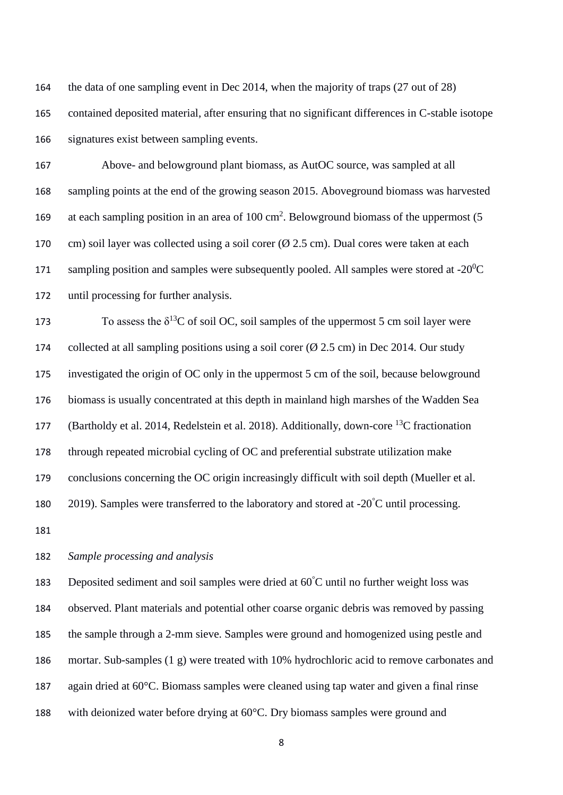the data of one sampling event in Dec 2014, when the majority of traps (27 out of 28) contained deposited material, after ensuring that no significant differences in C-stable isotope signatures exist between sampling events.

 Above- and belowground plant biomass, as AutOC source, was sampled at all sampling points at the end of the growing season 2015. Aboveground biomass was harvested 169 at each sampling position in an area of  $100 \text{ cm}^2$ . Belowground biomass of the uppermost (5 170 cm) soil layer was collected using a soil corer  $(\emptyset 2.5 \text{ cm})$ . Dual cores were taken at each 171 sampling position and samples were subsequently pooled. All samples were stored at -20 $\rm ^{0}C$ until processing for further analysis.

173 To assess the  $\delta^{13}$ C of soil OC, soil samples of the uppermost 5 cm soil layer were 174 collected at all sampling positions using a soil corer  $(\emptyset 2.5 \text{ cm})$  in Dec 2014. Our study investigated the origin of OC only in the uppermost 5 cm of the soil, because belowground biomass is usually concentrated at this depth in mainland high marshes of the Wadden Sea 177 (Bartholdy et al. 2014, Redelstein et al. 2018). Additionally, down-core  $^{13}$ C fractionation through repeated microbial cycling of OC and preferential substrate utilization make conclusions concerning the OC origin increasingly difficult with soil depth (Mueller et al.  $\,$  2019). Samples were transferred to the laboratory and stored at -20 $\,^{\circ}$ C until processing.

# *Sample processing and analysis*

183 Deposited sediment and soil samples were dried at  $60^{\circ}$ C until no further weight loss was observed. Plant materials and potential other coarse organic debris was removed by passing the sample through a 2-mm sieve. Samples were ground and homogenized using pestle and mortar. Sub-samples (1 g) were treated with 10% hydrochloric acid to remove carbonates and again dried at 60°C. Biomass samples were cleaned using tap water and given a final rinse with deionized water before drying at 60°C. Dry biomass samples were ground and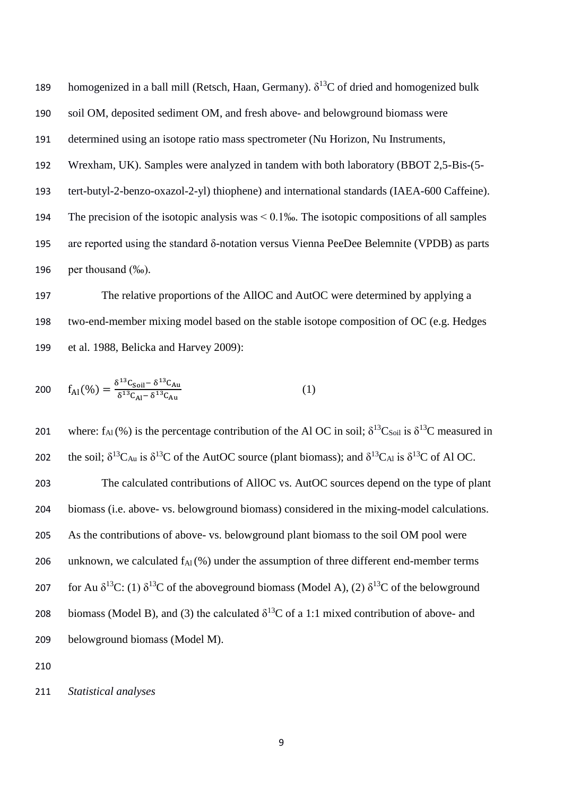189 homogenized in a ball mill (Retsch, Haan, Germany).  $\delta^{13}C$  of dried and homogenized bulk soil OM, deposited sediment OM, and fresh above- and belowground biomass were determined using an isotope ratio mass spectrometer (Nu Horizon, Nu Instruments, Wrexham, UK). Samples were analyzed in tandem with both laboratory (BBOT 2,5-Bis-(5- tert-butyl-2-benzo-oxazol-2-yl) thiophene) and international standards (IAEA-600 Caffeine). The precision of the isotopic analysis was < 0.1‰. The isotopic compositions of all samples are reported using the standard δ-notation versus Vienna PeeDee Belemnite (VPDB) as parts per thousand (‰).

 The relative proportions of the AllOC and AutOC were determined by applying a two-end-member mixing model based on the stable isotope composition of OC (e.g. Hedges et al. 1988, Belicka and Harvey 2009):

200 
$$
f_{\text{Al}}(\%) = \frac{\delta^{13}C_{\text{Soil}} - \delta^{13}C_{\text{Au}}}{\delta^{13}C_{\text{Al}} - \delta^{13}C_{\text{Au}}}
$$
 (1)

201 where:  $f_{Al}(\%)$  is the percentage contribution of the Al OC in soil;  $\delta^{13}C_{Soil}$  is  $\delta^{13}C$  measured in 202 the soil;  $\delta^{13}C_{Au}$  is  $\delta^{13}C$  of the AutOC source (plant biomass); and  $\delta^{13}C_{Al}$  is  $\delta^{13}C$  of Al OC. The calculated contributions of AllOC vs. AutOC sources depend on the type of plant biomass (i.e. above- vs. belowground biomass) considered in the mixing-model calculations. As the contributions of above- vs. belowground plant biomass to the soil OM pool were 206 unknown, we calculated  $f_{Al}(\%)$  under the assumption of three different end-member terms 207 for Au  $\delta^{13}C$ : (1)  $\delta^{13}C$  of the aboveground biomass (Model A), (2)  $\delta^{13}C$  of the belowground biomass (Model B), and (3) the calculated  $\delta^{13}$ C of a 1:1 mixed contribution of above- and belowground biomass (Model M).

*Statistical analyses*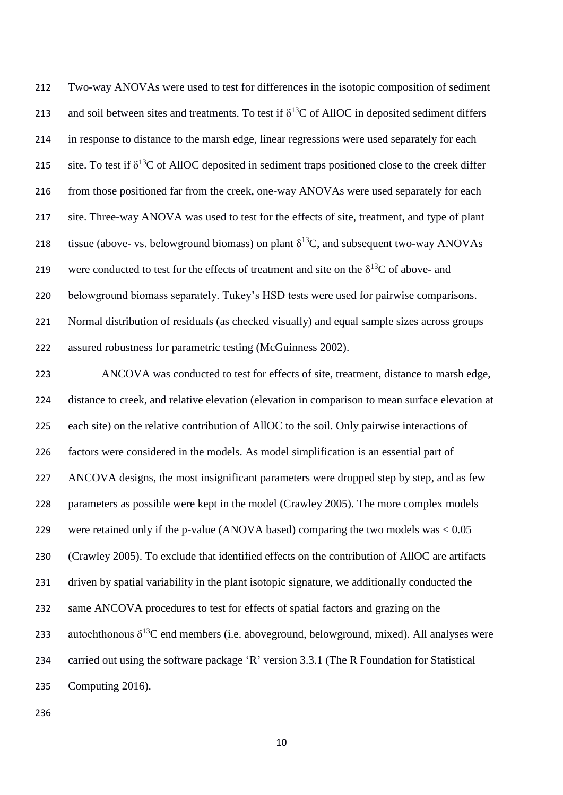Two-way ANOVAs were used to test for differences in the isotopic composition of sediment 213 and soil between sites and treatments. To test if  $\delta^{13}C$  of AllOC in deposited sediment differs in response to distance to the marsh edge, linear regressions were used separately for each 215 site. To test if  $\delta^{13}C$  of AllOC deposited in sediment traps positioned close to the creek differ from those positioned far from the creek, one-way ANOVAs were used separately for each site. Three-way ANOVA was used to test for the effects of site, treatment, and type of plant 218 tissue (above- vs. belowground biomass) on plant  $\delta^{13}C$ , and subsequent two-way ANOVAs 219 were conducted to test for the effects of treatment and site on the  $\delta^{13}C$  of above- and belowground biomass separately. Tukey's HSD tests were used for pairwise comparisons. Normal distribution of residuals (as checked visually) and equal sample sizes across groups assured robustness for parametric testing (McGuinness 2002).

 ANCOVA was conducted to test for effects of site, treatment, distance to marsh edge, distance to creek, and relative elevation (elevation in comparison to mean surface elevation at each site) on the relative contribution of AllOC to the soil. Only pairwise interactions of factors were considered in the models. As model simplification is an essential part of ANCOVA designs, the most insignificant parameters were dropped step by step, and as few parameters as possible were kept in the model (Crawley 2005). The more complex models were retained only if the p-value (ANOVA based) comparing the two models was < 0.05 (Crawley 2005). To exclude that identified effects on the contribution of AllOC are artifacts driven by spatial variability in the plant isotopic signature, we additionally conducted the same ANCOVA procedures to test for effects of spatial factors and grazing on the 233 autochthonous  $\delta^{13}$ C end members (i.e. aboveground, belowground, mixed). All analyses were carried out using the software package 'R' version 3.3.1 (The R Foundation for Statistical Computing 2016).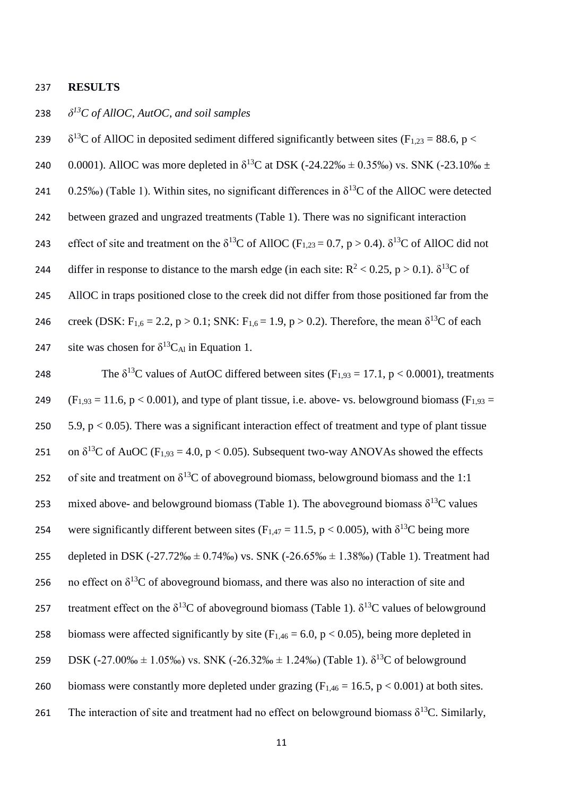#### 237 **RESULTS**

# *δ <sup>13</sup>* 238 *C of AllOC, AutOC, and soil samples*

239  $\delta^{13}$ C of AllOC in deposited sediment differed significantly between sites (F<sub>1,23</sub> = 88.6, p <

240 0.0001). AllOC was more depleted in  $\delta^{13}$ C at DSK (-24.22‰ ± 0.35‰) vs. SNK (-23.10‰ ±

241  $0.25\%$ ) (Table 1). Within sites, no significant differences in  $\delta^{13}$ C of the AllOC were detected

242 between grazed and ungrazed treatments (Table 1). There was no significant interaction

243 effect of site and treatment on the  $\delta^{13}C$  of AllOC (F<sub>1,23</sub> = 0.7, p > 0.4).  $\delta^{13}C$  of AllOC did not

244 differ in response to distance to the marsh edge (in each site:  $R^2 < 0.25$ , p  $> 0.1$ ).  $\delta^{13}C$  of

245 AllOC in traps positioned close to the creek did not differ from those positioned far from the

246 creek (DSK: F<sub>1,6</sub> = 2.2, p > 0.1; SNK: F<sub>1,6</sub> = 1.9, p > 0.2). Therefore, the mean δ<sup>13</sup>C of each 247 site was chosen for  $\delta^{13}C_{Al}$  in Equation 1.

248 The  $\delta^{13}$ C values of AutOC differed between sites (F<sub>1,93</sub> = 17.1, p < 0.0001), treatments 249 (F<sub>1,93</sub> = 11.6, p < 0.001), and type of plant tissue, i.e. above- vs. belowground biomass (F<sub>1,93</sub> = 250  $5.9$ , p  $\lt$  0.05). There was a significant interaction effect of treatment and type of plant tissue 251 on  $\delta^{13}$ C of AuOC (F<sub>1,93</sub> = 4.0, p < 0.05). Subsequent two-way ANOVAs showed the effects 252 of site and treatment on  $\delta^{13}C$  of aboveground biomass, belowground biomass and the 1:1 253 mixed above- and belowground biomass (Table 1). The aboveground biomass  $\delta^{13}C$  values 254 were significantly different between sites ( $F_{1,47} = 11.5$ , p < 0.005), with  $\delta^{13}C$  being more 255 depleted in DSK (-27.72‰  $\pm$  0.74‰) vs. SNK (-26.65‰  $\pm$  1.38‰) (Table 1). Treatment had 256 no effect on  $\delta^{13}$ C of aboveground biomass, and there was also no interaction of site and 257 treatment effect on the  $\delta^{13}$ C of aboveground biomass (Table 1).  $\delta^{13}$ C values of belowground 258 biomass were affected significantly by site  $(F<sub>1.46</sub> = 6.0, p < 0.05)$ , being more depleted in 259 DSK (-27.00‰  $\pm$  1.05‰) vs. SNK (-26.32‰  $\pm$  1.24‰) (Table 1).  $\delta^{13}C$  of belowground 260 biomass were constantly more depleted under grazing ( $F_{1,46} = 16.5$ ,  $p < 0.001$ ) at both sites. 261 The interaction of site and treatment had no effect on belowground biomass  $\delta^{13}C$ . Similarly,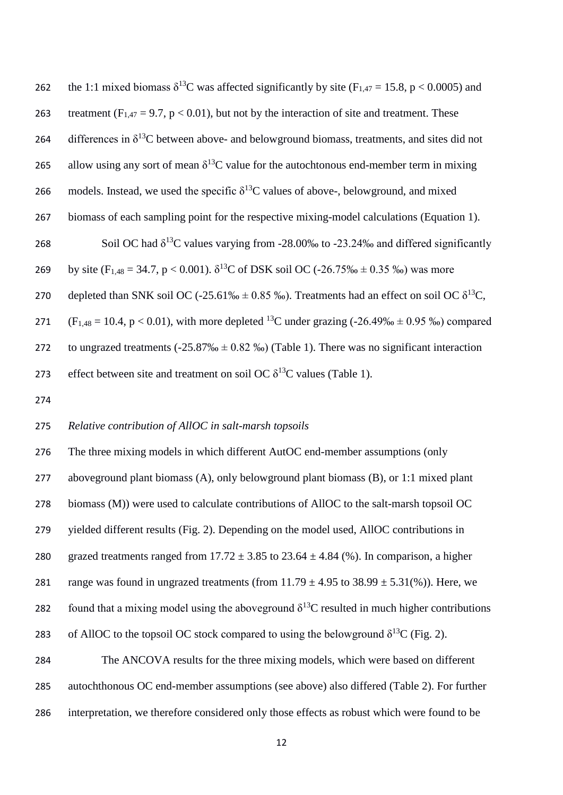| 262 | the 1:1 mixed biomass $\delta^{13}$ C was affected significantly by site (F <sub>1,47</sub> = 15.8, p < 0.0005) and |
|-----|---------------------------------------------------------------------------------------------------------------------|
| 263 | treatment ( $F_{1,47} = 9.7$ , $p < 0.01$ ), but not by the interaction of site and treatment. These                |
| 264 | differences in $\delta^{13}$ C between above- and belowground biomass, treatments, and sites did not                |
| 265 | allow using any sort of mean $\delta^{13}$ C value for the autochtonous end-member term in mixing                   |
| 266 | models. Instead, we used the specific $\delta^{13}$ C values of above-, belowground, and mixed                      |
| 267 | biomass of each sampling point for the respective mixing-model calculations (Equation 1).                           |
| 268 | Soil OC had $\delta^{13}$ C values varying from -28.00% to -23.24% and differed significantly                       |
| 269 | by site (F <sub>1,48</sub> = 34.7, p < 0.001). $\delta^{13}$ C of DSK soil OC (-26.75% $\pm$ 0.35 %) was more       |
| 270 | depleted than SNK soil OC (-25.61% $\pm$ 0.85 %). Treatments had an effect on soil OC $\delta^{13}C$ ,              |
| 271 | $(F_{1,48} = 10.4, p < 0.01)$ , with more depleted <sup>13</sup> C under grazing (-26.49‰ ± 0.95 ‰) compared        |
| 272 | to ungrazed treatments (-25.87‰ $\pm$ 0.82 ‰) (Table 1). There was no significant interaction                       |
| 273 | effect between site and treatment on soil OC $\delta^{13}$ C values (Table 1).                                      |
|     |                                                                                                                     |

## *Relative contribution of AllOC in salt-marsh topsoils*

 The three mixing models in which different AutOC end-member assumptions (only aboveground plant biomass (A), only belowground plant biomass (B), or 1:1 mixed plant biomass (M)) were used to calculate contributions of AllOC to the salt-marsh topsoil OC yielded different results (Fig. 2). Depending on the model used, AllOC contributions in 280 grazed treatments ranged from  $17.72 \pm 3.85$  to  $23.64 \pm 4.84$  (%). In comparison, a higher 281 range was found in ungrazed treatments (from  $11.79 \pm 4.95$  to  $38.99 \pm 5.31$ %)). Here, we found that a mixing model using the aboveground  $\delta^{13}$ C resulted in much higher contributions 283 of AllOC to the topsoil OC stock compared to using the belowground  $δ<sup>13</sup>C$  (Fig. 2). The ANCOVA results for the three mixing models, which were based on different

 autochthonous OC end-member assumptions (see above) also differed (Table 2). For further interpretation, we therefore considered only those effects as robust which were found to be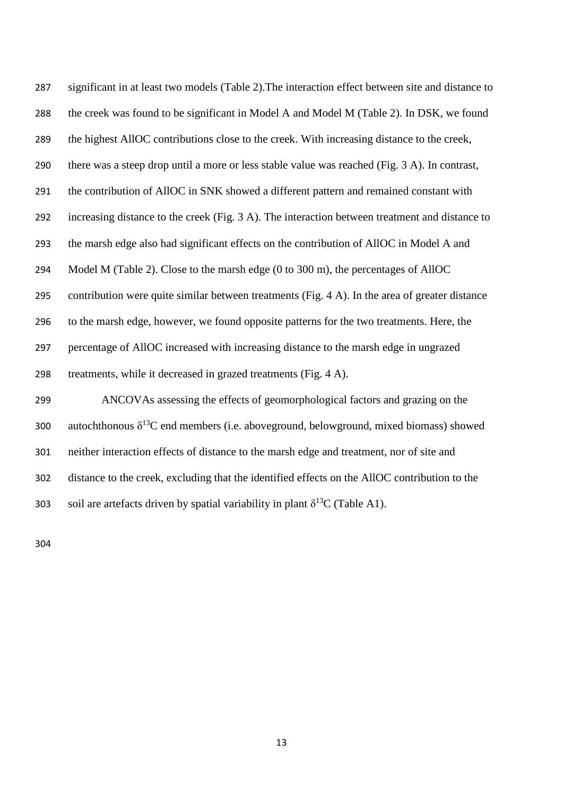significant in at least two models (Table 2).The interaction effect between site and distance to the creek was found to be significant in Model A and Model M (Table 2). In DSK, we found the highest AllOC contributions close to the creek. With increasing distance to the creek, there was a steep drop until a more or less stable value was reached (Fig. 3 A). In contrast, the contribution of AllOC in SNK showed a different pattern and remained constant with increasing distance to the creek (Fig. 3 A). The interaction between treatment and distance to the marsh edge also had significant effects on the contribution of AllOC in Model A and Model M (Table 2). Close to the marsh edge (0 to 300 m), the percentages of AllOC contribution were quite similar between treatments (Fig. 4 A). In the area of greater distance to the marsh edge, however, we found opposite patterns for the two treatments. Here, the percentage of AllOC increased with increasing distance to the marsh edge in ungrazed treatments, while it decreased in grazed treatments (Fig. 4 A). ANCOVAs assessing the effects of geomorphological factors and grazing on the

300 autochthonous  $\delta^{13}C$  end members (i.e. aboveground, belowground, mixed biomass) showed neither interaction effects of distance to the marsh edge and treatment, nor of site and distance to the creek, excluding that the identified effects on the AllOC contribution to the 303 soil are artefacts driven by spatial variability in plant  $\delta^{13}C$  (Table A1).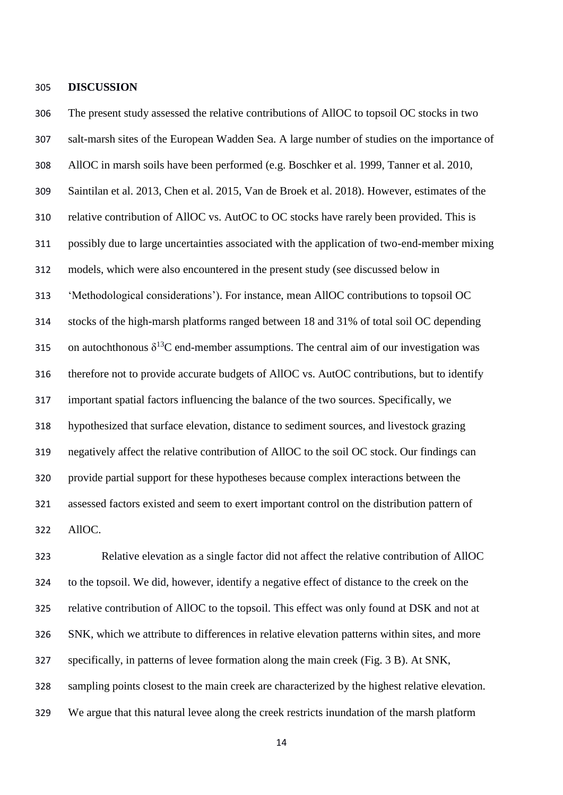#### **DISCUSSION**

 The present study assessed the relative contributions of AllOC to topsoil OC stocks in two salt-marsh sites of the European Wadden Sea. A large number of studies on the importance of AllOC in marsh soils have been performed (e.g. Boschker et al. 1999, Tanner et al. 2010, Saintilan et al. 2013, Chen et al. 2015, Van de Broek et al. 2018). However, estimates of the relative contribution of AllOC vs. AutOC to OC stocks have rarely been provided. This is possibly due to large uncertainties associated with the application of two-end-member mixing models, which were also encountered in the present study (see discussed below in 'Methodological considerations'). For instance, mean AllOC contributions to topsoil OC stocks of the high-marsh platforms ranged between 18 and 31% of total soil OC depending 315 on autochthonous  $\delta^{13}C$  end-member assumptions. The central aim of our investigation was therefore not to provide accurate budgets of AllOC vs. AutOC contributions, but to identify important spatial factors influencing the balance of the two sources. Specifically, we hypothesized that surface elevation, distance to sediment sources, and livestock grazing negatively affect the relative contribution of AllOC to the soil OC stock. Our findings can provide partial support for these hypotheses because complex interactions between the assessed factors existed and seem to exert important control on the distribution pattern of AllOC.

 Relative elevation as a single factor did not affect the relative contribution of AllOC to the topsoil. We did, however, identify a negative effect of distance to the creek on the relative contribution of AllOC to the topsoil. This effect was only found at DSK and not at SNK, which we attribute to differences in relative elevation patterns within sites, and more specifically, in patterns of levee formation along the main creek (Fig. 3 B). At SNK, sampling points closest to the main creek are characterized by the highest relative elevation. We argue that this natural levee along the creek restricts inundation of the marsh platform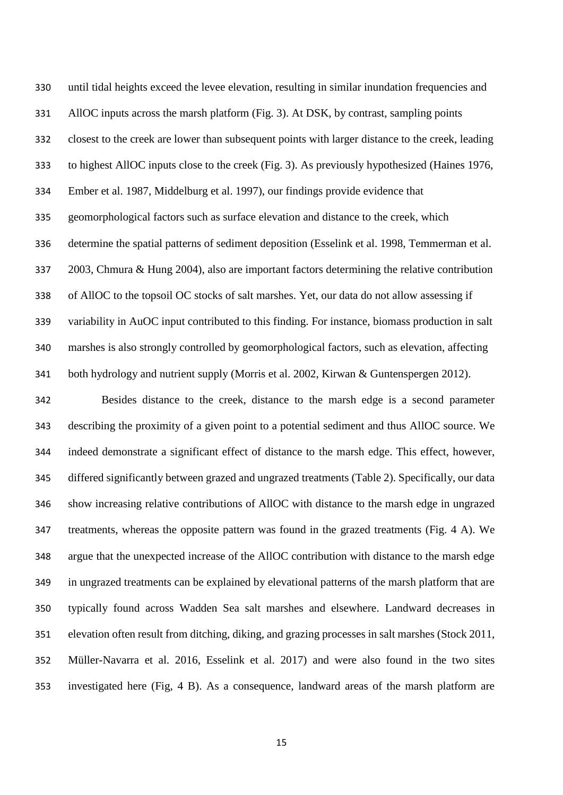until tidal heights exceed the levee elevation, resulting in similar inundation frequencies and AllOC inputs across the marsh platform (Fig. 3). At DSK, by contrast, sampling points closest to the creek are lower than subsequent points with larger distance to the creek, leading to highest AllOC inputs close to the creek (Fig. 3). As previously hypothesized (Haines 1976, Ember et al. 1987, Middelburg et al. 1997), our findings provide evidence that geomorphological factors such as surface elevation and distance to the creek, which determine the spatial patterns of sediment deposition (Esselink et al. 1998, Temmerman et al. 2003, Chmura & Hung 2004), also are important factors determining the relative contribution of AllOC to the topsoil OC stocks of salt marshes. Yet, our data do not allow assessing if variability in AuOC input contributed to this finding. For instance, biomass production in salt marshes is also strongly controlled by geomorphological factors, such as elevation, affecting both hydrology and nutrient supply (Morris et al. 2002, Kirwan & Guntenspergen 2012).

 Besides distance to the creek, distance to the marsh edge is a second parameter describing the proximity of a given point to a potential sediment and thus AllOC source. We indeed demonstrate a significant effect of distance to the marsh edge. This effect, however, differed significantly between grazed and ungrazed treatments (Table 2). Specifically, our data show increasing relative contributions of AllOC with distance to the marsh edge in ungrazed treatments, whereas the opposite pattern was found in the grazed treatments (Fig. 4 A). We argue that the unexpected increase of the AllOC contribution with distance to the marsh edge in ungrazed treatments can be explained by elevational patterns of the marsh platform that are typically found across Wadden Sea salt marshes and elsewhere. Landward decreases in elevation often result from ditching, diking, and grazing processes in salt marshes (Stock 2011, Müller-Navarra et al. 2016, Esselink et al. 2017) and were also found in the two sites investigated here (Fig, 4 B). As a consequence, landward areas of the marsh platform are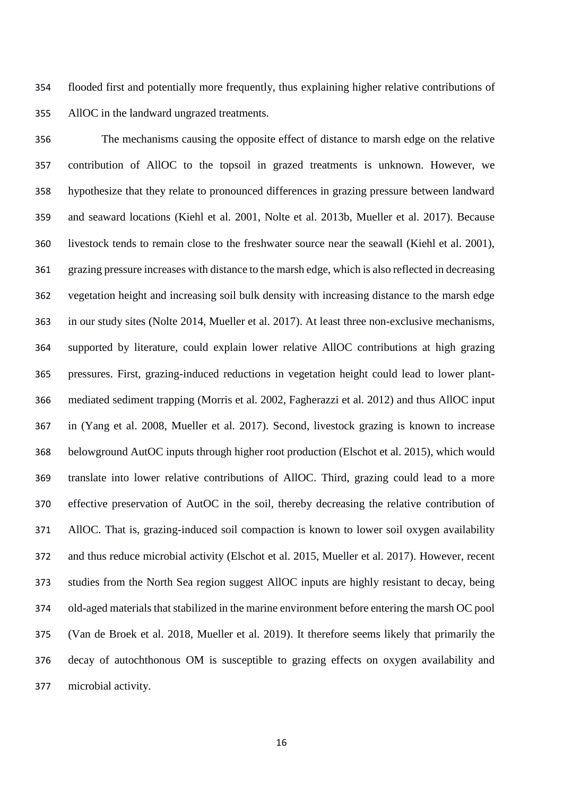flooded first and potentially more frequently, thus explaining higher relative contributions of AllOC in the landward ungrazed treatments.

 The mechanisms causing the opposite effect of distance to marsh edge on the relative contribution of AllOC to the topsoil in grazed treatments is unknown. However, we hypothesize that they relate to pronounced differences in grazing pressure between landward and seaward locations (Kiehl et al. 2001, Nolte et al. 2013b, Mueller et al. 2017). Because livestock tends to remain close to the freshwater source near the seawall (Kiehl et al. 2001), grazing pressure increases with distance to the marsh edge, which is also reflected in decreasing vegetation height and increasing soil bulk density with increasing distance to the marsh edge in our study sites (Nolte 2014, Mueller et al. 2017). At least three non-exclusive mechanisms, supported by literature, could explain lower relative AllOC contributions at high grazing pressures. First, grazing-induced reductions in vegetation height could lead to lower plant- mediated sediment trapping (Morris et al. 2002, Fagherazzi et al. 2012) and thus AllOC input in (Yang et al. 2008, Mueller et al. 2017). Second, livestock grazing is known to increase belowground AutOC inputs through higher root production (Elschot et al. 2015), which would translate into lower relative contributions of AllOC. Third, grazing could lead to a more effective preservation of AutOC in the soil, thereby decreasing the relative contribution of AllOC. That is, grazing-induced soil compaction is known to lower soil oxygen availability and thus reduce microbial activity (Elschot et al. 2015, Mueller et al. 2017). However, recent studies from the North Sea region suggest AllOC inputs are highly resistant to decay, being old-aged materials that stabilized in the marine environment before entering the marsh OC pool (Van de Broek et al. 2018, Mueller et al. 2019). It therefore seems likely that primarily the decay of autochthonous OM is susceptible to grazing effects on oxygen availability and microbial activity.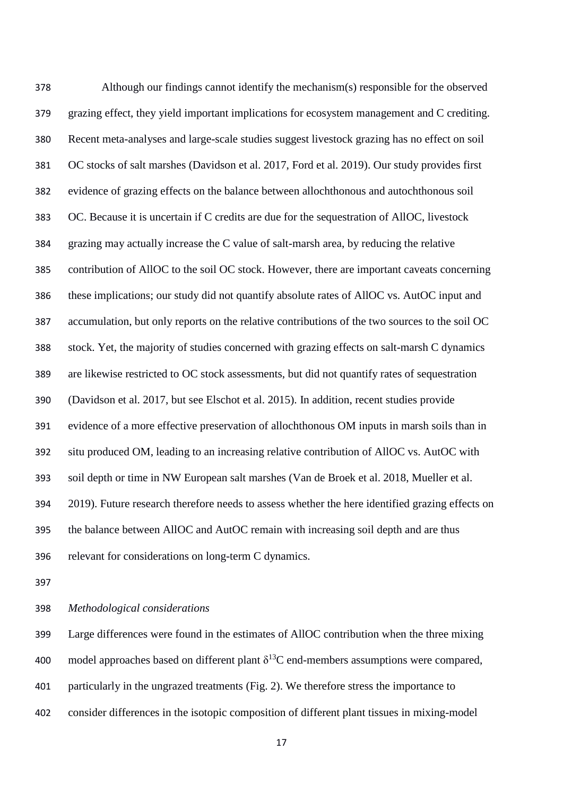Although our findings cannot identify the mechanism(s) responsible for the observed grazing effect, they yield important implications for ecosystem management and C crediting. Recent meta-analyses and large-scale studies suggest livestock grazing has no effect on soil OC stocks of salt marshes (Davidson et al. 2017, Ford et al. 2019). Our study provides first evidence of grazing effects on the balance between allochthonous and autochthonous soil OC. Because it is uncertain if C credits are due for the sequestration of AllOC, livestock grazing may actually increase the C value of salt-marsh area, by reducing the relative contribution of AllOC to the soil OC stock. However, there are important caveats concerning these implications; our study did not quantify absolute rates of AllOC vs. AutOC input and accumulation, but only reports on the relative contributions of the two sources to the soil OC stock. Yet, the majority of studies concerned with grazing effects on salt-marsh C dynamics are likewise restricted to OC stock assessments, but did not quantify rates of sequestration (Davidson et al. 2017, but see Elschot et al. 2015). In addition, recent studies provide evidence of a more effective preservation of allochthonous OM inputs in marsh soils than in situ produced OM, leading to an increasing relative contribution of AllOC vs. AutOC with soil depth or time in NW European salt marshes (Van de Broek et al. 2018, Mueller et al. 2019). Future research therefore needs to assess whether the here identified grazing effects on the balance between AllOC and AutOC remain with increasing soil depth and are thus relevant for considerations on long-term C dynamics.

## *Methodological considerations*

 Large differences were found in the estimates of AllOC contribution when the three mixing 400 model approaches based on different plant  $\delta^{13}$ C end-members assumptions were compared, particularly in the ungrazed treatments (Fig. 2). We therefore stress the importance to consider differences in the isotopic composition of different plant tissues in mixing-model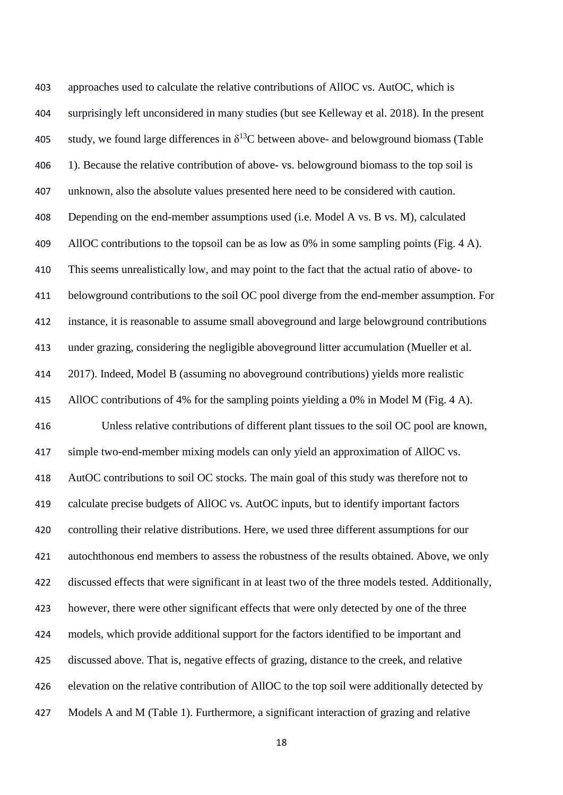approaches used to calculate the relative contributions of AllOC vs. AutOC, which is surprisingly left unconsidered in many studies (but see Kelleway et al. 2018). In the present 405 study, we found large differences in  $\delta^{13}$ C between above- and belowground biomass (Table 406 1). Because the relative contribution of above- vs. belowground biomass to the top soil is unknown, also the absolute values presented here need to be considered with caution. 408 Depending on the end-member assumptions used (i.e. Model A vs. B vs. M), calculated 409 AllOC contributions to the topsoil can be as low as 0% in some sampling points (Fig. 4 A). This seems unrealistically low, and may point to the fact that the actual ratio of above- to belowground contributions to the soil OC pool diverge from the end-member assumption. For instance, it is reasonable to assume small aboveground and large belowground contributions under grazing, considering the negligible aboveground litter accumulation (Mueller et al. 2017). Indeed, Model B (assuming no aboveground contributions) yields more realistic AllOC contributions of 4% for the sampling points yielding a 0% in Model M (Fig. 4 A). Unless relative contributions of different plant tissues to the soil OC pool are known, simple two-end-member mixing models can only yield an approximation of AllOC vs. AutOC contributions to soil OC stocks. The main goal of this study was therefore not to calculate precise budgets of AllOC vs. AutOC inputs, but to identify important factors controlling their relative distributions. Here, we used three different assumptions for our autochthonous end members to assess the robustness of the results obtained. Above, we only discussed effects that were significant in at least two of the three models tested. Additionally, however, there were other significant effects that were only detected by one of the three models, which provide additional support for the factors identified to be important and discussed above. That is, negative effects of grazing, distance to the creek, and relative elevation on the relative contribution of AllOC to the top soil were additionally detected by Models A and M (Table 1). Furthermore, a significant interaction of grazing and relative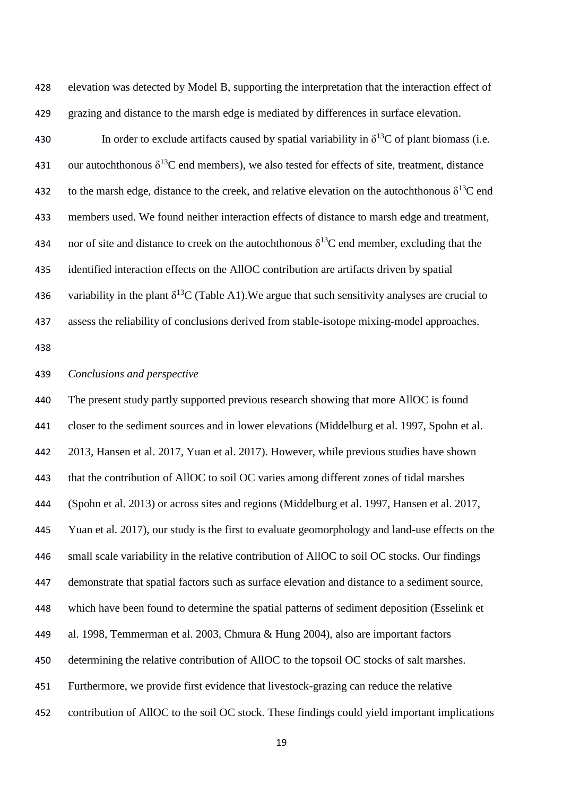elevation was detected by Model B, supporting the interpretation that the interaction effect of grazing and distance to the marsh edge is mediated by differences in surface elevation.

430 In order to exclude artifacts caused by spatial variability in  $\delta^{13}C$  of plant biomass (i.e. 431 our autochthonous  $\delta^{13}$ C end members), we also tested for effects of site, treatment, distance 432 to the marsh edge, distance to the creek, and relative elevation on the autochthonous  $\delta^{13}C$  end members used. We found neither interaction effects of distance to marsh edge and treatment, 434 nor of site and distance to creek on the autochthonous  $\delta^{13}$ C end member, excluding that the identified interaction effects on the AllOC contribution are artifacts driven by spatial 436 variability in the plant  $\delta^{13}C$  (Table A1). We argue that such sensitivity analyses are crucial to assess the reliability of conclusions derived from stable-isotope mixing-model approaches.

## *Conclusions and perspective*

 The present study partly supported previous research showing that more AllOC is found closer to the sediment sources and in lower elevations (Middelburg et al. 1997, Spohn et al. 2013, Hansen et al. 2017, Yuan et al. 2017). However, while previous studies have shown that the contribution of AllOC to soil OC varies among different zones of tidal marshes (Spohn et al. 2013) or across sites and regions (Middelburg et al. 1997, Hansen et al. 2017, Yuan et al. 2017), our study is the first to evaluate geomorphology and land-use effects on the small scale variability in the relative contribution of AllOC to soil OC stocks. Our findings demonstrate that spatial factors such as surface elevation and distance to a sediment source, which have been found to determine the spatial patterns of sediment deposition (Esselink et al. 1998, Temmerman et al. 2003, Chmura & Hung 2004), also are important factors 450 determining the relative contribution of AllOC to the topsoil OC stocks of salt marshes. Furthermore, we provide first evidence that livestock-grazing can reduce the relative

contribution of AllOC to the soil OC stock. These findings could yield important implications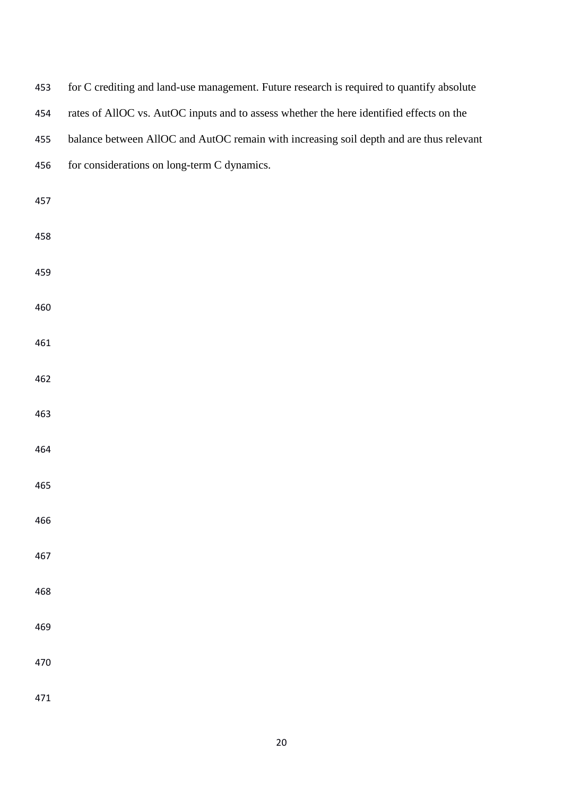| 453 | for C crediting and land-use management. Future research is required to quantify absolute |
|-----|-------------------------------------------------------------------------------------------|
| 454 | rates of AllOC vs. AutOC inputs and to assess whether the here identified effects on the  |
| 455 | balance between AllOC and AutOC remain with increasing soil depth and are thus relevant   |
| 456 | for considerations on long-term C dynamics.                                               |
| 457 |                                                                                           |
| 458 |                                                                                           |
| 459 |                                                                                           |
| 460 |                                                                                           |
| 461 |                                                                                           |
| 462 |                                                                                           |
| 463 |                                                                                           |
| 464 |                                                                                           |
| 465 |                                                                                           |
| 466 |                                                                                           |
| 467 |                                                                                           |
| 468 |                                                                                           |
| 469 |                                                                                           |
| 470 |                                                                                           |
| 471 |                                                                                           |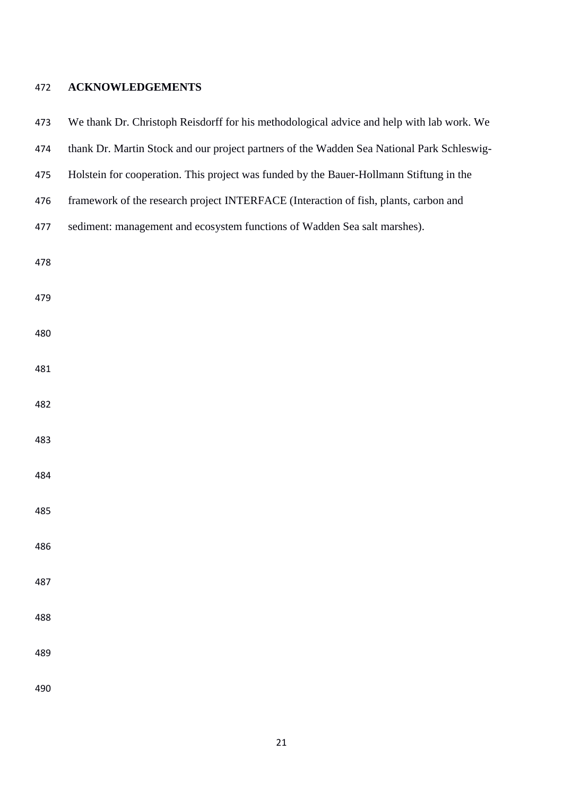# **ACKNOWLEDGEMENTS**

| 473 | We thank Dr. Christoph Reisdorff for his methodological advice and help with lab work. We  |
|-----|--------------------------------------------------------------------------------------------|
| 474 | thank Dr. Martin Stock and our project partners of the Wadden Sea National Park Schleswig- |
| 475 | Holstein for cooperation. This project was funded by the Bauer-Hollmann Stiftung in the    |
| 476 | framework of the research project INTERFACE (Interaction of fish, plants, carbon and       |
| 477 | sediment: management and ecosystem functions of Wadden Sea salt marshes).                  |
| 478 |                                                                                            |
| 479 |                                                                                            |
| 480 |                                                                                            |
| 481 |                                                                                            |
| 482 |                                                                                            |
| 483 |                                                                                            |
| 484 |                                                                                            |
| 485 |                                                                                            |
| 486 |                                                                                            |
| 487 |                                                                                            |
| 488 |                                                                                            |
| 489 |                                                                                            |
| 490 |                                                                                            |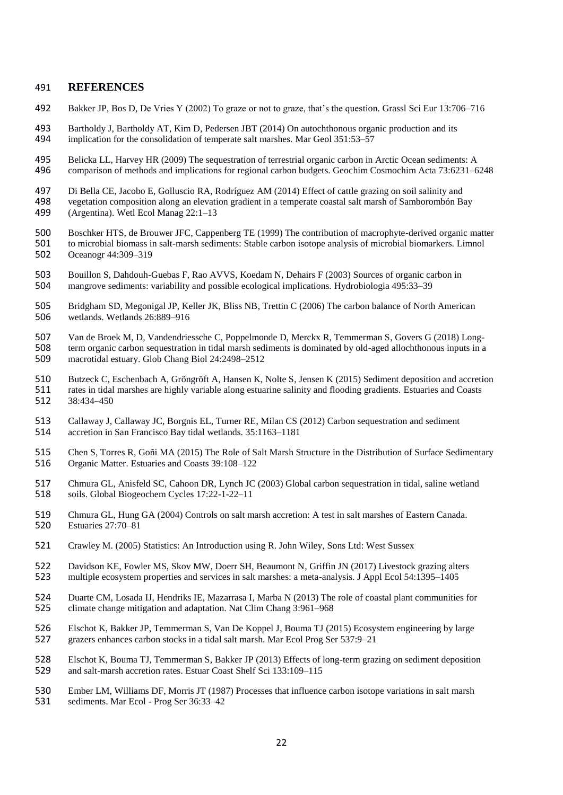#### 491 **REFERENCES**

492 Bakker JP, Bos D, De Vries Y (2002) To graze or not to graze, that's the question. Grassl Sci Eur 13:706–716

493 Bartholdy J, Bartholdy AT, Kim D, Pedersen JBT (2014) On autochthonous organic production and its<br>494 implication for the consolidation of temperate salt marshes. Mar Geol 351:53–57 implication for the consolidation of temperate salt marshes. Mar Geol  $351:53-57$ 

- 495 Belicka LL, Harvey HR (2009) The sequestration of terrestrial organic carbon in Arctic Ocean sediments: A<br>496 comparison of methods and implications for regional carbon budgets. Geochim Cosmochim Acta 73:6231–6 496 comparison of methods and implications for regional carbon budgets. Geochim Cosmochim Acta 73:6231–6248
- 497 Di Bella CE, Jacobo E, Golluscio RA, Rodríguez AM (2014) Effect of cattle grazing on soil salinity and<br>498 vegetation composition along an elevation gradient in a temperate coastal salt marsh of Samborombón Ba
- 498 vegetation composition along an elevation gradient in a temperate coastal salt marsh of Samborombón Bay<br>499 (Argentina). Wetl Ecol Manag 22:1–13
- (Argentina). Wetl Ecol Manag  $22:1-13$
- 
- 500 Boschker HTS, de Brouwer JFC, Cappenberg TE (1999) The contribution of macrophyte-derived organic matter<br>501 to microbial biomass in salt-marsh sediments: Stable carbon isotope analysis of microbial biomarkers. Limnol 501 to microbial biomass in salt-marsh sediments: Stable carbon isotope analysis of microbial biomarkers. Limnol<br>502 Coeanogr 44:309–319 502 Oceanogr 44:309–319
- 503 Bouillon S, Dahdouh-Guebas F, Rao AVVS, Koedam N, Dehairs F (2003) Sources of organic carbon in<br>504 mangrove sediments: variability and possible ecological implications. Hydrobiologia 495:33–39 504 mangrove sediments: variability and possible ecological implications. Hydrobiologia 495:33–39
- 505 Bridgham SD, Megonigal JP, Keller JK, Bliss NB, Trettin C (2006) The carbon balance of North American<br>506 wetlands. Wetlands 26:889–916 wetlands. Wetlands 26:889-916
- 507 Van de Broek M, D, Vandendriessche C, Poppelmonde D, Merckx R, Temmerman S, Govers G (2018) Long-<br>508 term organic carbon sequestration in tidal marsh sediments is dominated by old-aged allochthonous inputs in a 508 term organic carbon sequestration in tidal marsh sediments is dominated by old-aged allochthonous inputs in a<br>509 macrotidal estuary. Glob Chang Biol 24:2498–2512 macrotidal estuary. Glob Chang Biol 24:2498–2512
- 510 Butzeck C, Eschenbach A, Gröngröft A, Hansen K, Nolte S, Jensen K (2015) Sediment deposition and accretion<br>511 rates in tidal marshes are highly variable along estuarine salinity and flooding gradients. Estuaries and C 511 rates in tidal marshes are highly variable along estuarine salinity and flooding gradients. Estuaries and Coasts<br>512 38:434–450 512 38:434–450
- 513 Callaway J, Callaway JC, Borgnis EL, Turner RE, Milan CS (2012) Carbon sequestration and sediment<br>514 accretion in San Francisco Bay tidal wetlands. 35:1163–1181 514 accretion in San Francisco Bay tidal wetlands. 35:1163–1181
- 515 Chen S, Torres R, Goñi MA (2015) The Role of Salt Marsh Structure in the Distribution of Surface Sedimentary 516 Organic Matter. Estuaries and Coasts 39:108–122
- 517 Chmura GL, Anisfeld SC, Cahoon DR, Lynch JC (2003) Global carbon sequestration in tidal, saline wetland 518 soils. Global Biogeochem Cycles 17:22-1-22–11
- 519 Chmura GL, Hung GA (2004) Controls on salt marsh accretion: A test in salt marshes of Eastern Canada.<br>520 Estuaries 27:70–81 520 Estuaries 27:70–81
- 521 Crawley M. (2005) Statistics: An Introduction using R. John Wiley, Sons Ltd: West Sussex
- 522 Davidson KE, Fowler MS, Skov MW, Doerr SH, Beaumont N, Griffin JN (2017) Livestock grazing alters 523 multiple ecosystem properties and services in salt marshes: a meta-analysis. J Appl Ecol 54:1395–1405
- 524 Duarte CM, Losada IJ, Hendriks IE, Mazarrasa I, Marba N (2013) The role of coastal plant communities for<br>525 climate change mitigation and adaptation. Nat Clim Chang 3:961–968 525 climate change mitigation and adaptation. Nat Clim Chang 3:961–968
- 526 Elschot K, Bakker JP, Temmerman S, Van De Koppel J, Bouma TJ (2015) Ecosystem engineering by large<br>527 grazers enhances carbon stocks in a tidal salt marsh. Mar Ecol Prog Ser 537:9–21 527 grazers enhances carbon stocks in a tidal salt marsh. Mar Ecol Prog Ser 537:9–21
- 528 Elschot K, Bouma TJ, Temmerman S, Bakker JP (2013) Effects of long-term grazing on sediment deposition<br>529 and salt-marsh accretion rates. Estuar Coast Shelf Sci 133:109–115 529 and salt-marsh accretion rates. Estuar Coast Shelf Sci 133:109–115
- 530 Ember LM, Williams DF, Morris JT (1987) Processes that influence carbon isotope variations in salt marsh
- 531 sediments. Mar Ecol Prog Ser 36:33–42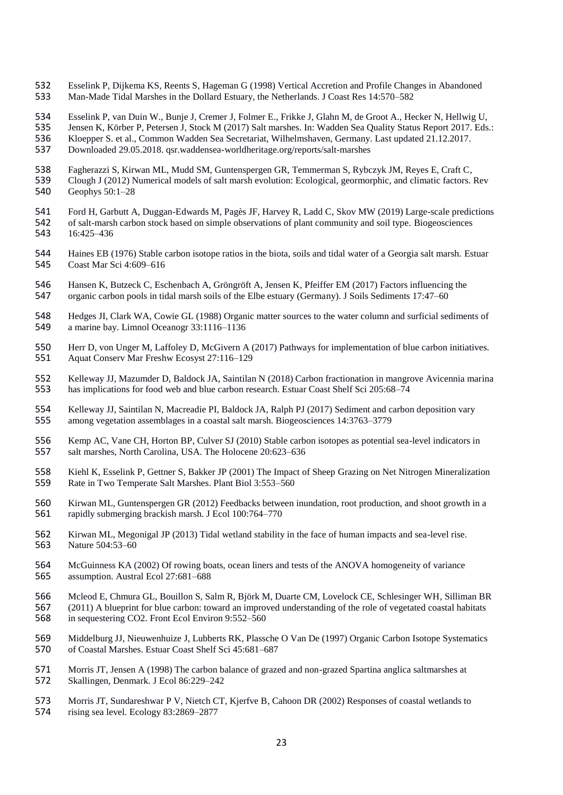- Esselink P, Dijkema KS, Reents S, Hageman G (1998) Vertical Accretion and Profile Changes in Abandoned Man-Made Tidal Marshes in the Dollard Estuary, the Netherlands. J Coast Res 14:570–582
- 
- Esselink P, van Duin W., Bunje J, Cremer J, Folmer E., Frikke J, Glahn M, de Groot A., Hecker N, Hellwig U,
- 535 Jensen K, Körber P, Petersen J, Stock M (2017) Salt marshes. In: Wadden Sea Quality Status Report 2017. Eds.:<br>536 Kloepper S. et al., Common Wadden Sea Secretariat. Wilhelmshaven. Germany. Last updated 21.12.2017.
- 536 Kloepper S. et al., Common Wadden Sea Secretariat, Wilhelmshaven, Germany. Last updated 21.12.2017.<br>537 Downloaded 29.05.2018. qsr.waddensea-worldheritage.org/reports/salt-marshes
- Downloaded 29.05.2018. qsr.waddensea-worldheritage.org/reports/salt-marshes
- 
- 538 Fagherazzi S, Kirwan ML, Mudd SM, Guntenspergen GR, Temmerman S, Rybczyk JM, Reyes E, Craft C, 539 Clough J (2012) Numerical models of salt marsh evolution: Ecological, geormorphic, and climatic factors. 539 Clough J (2012) Numerical models of salt marsh evolution: Ecological, geormorphic, and climatic factors. Rev<br>540 Geophys 50:1–28 Geophys  $50:1-28$
- 541 Ford H, Garbutt A, Duggan-Edwards M, Pagès JF, Harvey R, Ladd C, Skov MW (2019) Large-scale predictions<br>542 of salt-marsh carbon stock based on simple observations of plant community and soil type. Biogeosciences
- 542 of salt-marsh carbon stock based on simple observations of plant community and soil type. Biogeosciences<br>543 16:425-436 16:425-436
- 544 Haines EB (1976) Stable carbon isotope ratios in the biota, soils and tidal water of a Georgia salt marsh. Estuar<br>545 Coast Mar Sci 4:609–616 Coast Mar Sci 4:609–616
- 546 Hansen K, Butzeck C, Eschenbach A, Gröngröft A, Jensen K, Pfeiffer EM (2017) Factors influencing the organic carbon pools in tidal marsh soils of the Elbe estuary (Germany). J Soils Sediments 17:47–60 organic carbon pools in tidal marsh soils of the Elbe estuary (Germany). J Soils Sediments 17:47–60
- 548 Hedges JI, Clark WA, Cowie GL (1988) Organic matter sources to the water column and surficial sediments of a marine bay. Limnol Oceanogr 33:1116–1136 a marine bay. Limnol Oceanogr 33:1116–1136
- Herr D, von Unger M, Laffoley D, McGivern A (2017) Pathways for implementation of blue carbon initiatives. Aquat Conserv Mar Freshw Ecosyst 27:116–129
- Kelleway JJ, Mazumder D, Baldock JA, Saintilan N (2018) Carbon fractionation in mangrove Avicennia marina has implications for food web and blue carbon research. Estuar Coast Shelf Sci 205:68–74
- Kelleway JJ, Saintilan N, Macreadie PI, Baldock JA, Ralph PJ (2017) Sediment and carbon deposition vary among vegetation assemblages in a coastal salt marsh. Biogeosciences 14:3763–3779
- Kemp AC, Vane CH, Horton BP, Culver SJ (2010) Stable carbon isotopes as potential sea-level indicators in salt marshes, North Carolina, USA. The Holocene 20:623–636
- Kiehl K, Esselink P, Gettner S, Bakker JP (2001) The Impact of Sheep Grazing on Net Nitrogen Mineralization Rate in Two Temperate Salt Marshes. Plant Biol 3:553–560
- Kirwan ML, Guntenspergen GR (2012) Feedbacks between inundation, root production, and shoot growth in a rapidly submerging brackish marsh. J Ecol 100:764–770
- Kirwan ML, Megonigal JP (2013) Tidal wetland stability in the face of human impacts and sea-level rise. Nature 504:53–60
- McGuinness KA (2002) Of rowing boats, ocean liners and tests of the ANOVA homogeneity of variance assumption. Austral Ecol 27:681–688
- 566 Mcleod E, Chmura GL, Bouillon S, Salm R, Björk M, Duarte CM, Lovelock CE, Schlesinger WH, Silliman BR<br>567 (2011) A blueprint for blue carbon: toward an improved understanding of the role of vegetated coastal habitats 567 (2011) A blueprint for blue carbon: toward an improved understanding of the role of vegetated coastal habitats in sequestering CO2. Front Ecol Environ 9:552–560
- in sequestering CO2. Front Ecol Environ 9:552–560
- 569 Middelburg JJ, Nieuwenhuize J, Lubberts RK, Plassche O Van De (1997) Organic Carbon Isotope Systematics<br>570 of Coastal Marshes. Estuar Coast Shelf Sci 45:681–687 of Coastal Marshes. Estuar Coast Shelf Sci 45:681–687
- Morris JT, Jensen A (1998) The carbon balance of grazed and non-grazed Spartina anglica saltmarshes at Skallingen, Denmark. J Ecol 86:229–242
- Morris JT, Sundareshwar P V, Nietch CT, Kjerfve B, Cahoon DR (2002) Responses of coastal wetlands to rising sea level. Ecology 83:2869–2877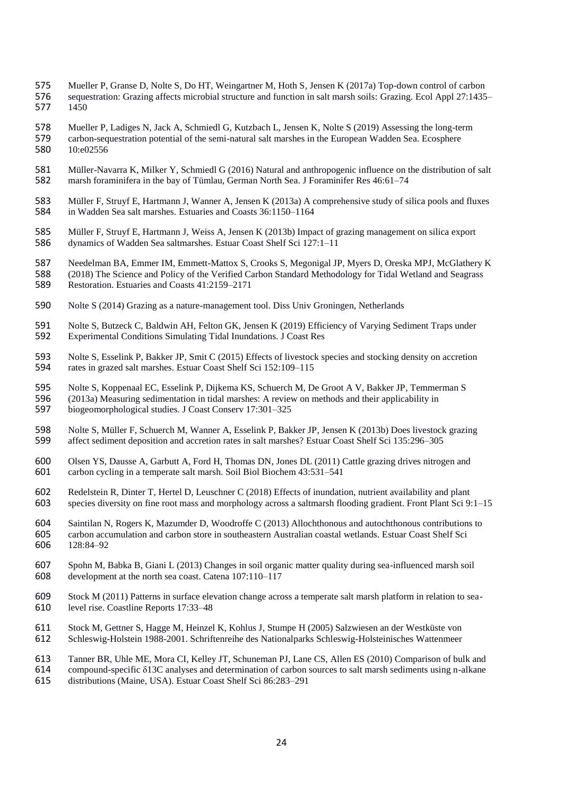- 575 Mueller P, Granse D, Nolte S, Do HT, Weingartner M, Hoth S, Jensen K (2017a) Top-down control of carbon
- 576 sequestration: Grazing affects microbial structure and function in salt marsh soils: Grazing. Ecol Appl 27:1435–<br>577 1450 577
- 
- 578 Mueller P, Ladiges N, Jack A, Schmiedl G, Kutzbach L, Jensen K, Nolte S (2019) Assessing the long-term<br>579 carbon-sequestration potential of the semi-natural salt marshes in the European Wadden Sea. Ecosphere 579 carbon-sequestration potential of the semi-natural salt marshes in the European Wadden Sea. Ecosphere 10:e02556
- 581 Müller-Navarra K, Milker Y, Schmiedl G (2016) Natural and anthropogenic influence on the distribution of salt marsh foraminifera in the bay of Tümlau, German North Sea. J Foraminifer Res 46:61–74 582 marsh foraminifera in the bay of Tümlau, German North Sea. J Foraminifer Res 46:61–74
- 583 Müller F, Struyf E, Hartmann J, Wanner A, Jensen K (2013a) A comprehensive study of silica pools and fluxes<br>584 in Wadden Sea salt marshes. Estuaries and Coasts 36:1150–1164 584 in Wadden Sea salt marshes. Estuaries and Coasts 36:1150–1164
- 585 Müller F, Struyf E, Hartmann J, Weiss A, Jensen K (2013b) Impact of grazing management on silica export<br>586 dynamics of Wadden Sea saltmarshes. Estuar Coast Shelf Sci 127:1–11 dynamics of Wadden Sea saltmarshes. Estuar Coast Shelf Sci 127:1-11
- 587 Needelman BA, Emmer IM, Emmett-Mattox S, Crooks S, Megonigal JP, Myers D, Oreska MPJ, McGlathery K<br>588 (2018) The Science and Policy of the Verified Carbon Standard Methodology for Tidal Wetland and Seagrass 588 (2018) The Science and Policy of the Verified Carbon Standard Methodology for Tidal Wetland and Seagrass<br>589 Restoration. Estuaries and Coasts 41:2159–2171
- 589 Restoration. Estuaries and Coasts 41:2159–2171
- 590 Nolte S (2014) Grazing as a nature-management tool. Diss Univ Groningen, Netherlands
- 591 Nolte S, Butzeck C, Baldwin AH, Felton GK, Jensen K (2019) Efficiency of Varying Sediment Traps under 592 Experimental Conditions Simulating Tidal Inundations. J Coast Res 592 Experimental Conditions Simulating Tidal Inundations. J Coast Res
- 593 Nolte S, Esselink P, Bakker JP, Smit C (2015) Effects of livestock species and stocking density on accretion<br>594 rates in grazed salt marshes. Estuar Coast Shelf Sci 152:109–115 594 rates in grazed salt marshes. Estuar Coast Shelf Sci 152:109–115
- 595 Nolte S, Koppenaal EC, Esselink P, Dijkema KS, Schuerch M, De Groot A V, Bakker JP, Temmerman S<br>596 (2013a) Measuring sedimentation in tidal marshes: A review on methods and their applicability in
- 596 (2013a) Measuring sedimentation in tidal marshes: A review on methods and their applicability in<br>597 biogeomorphological studies. J Coast Conserv 17:301–325 biogeomorphological studies. J Coast Conserv 17:301–325
- 598 Nolte S, Müller F, Schuerch M, Wanner A, Esselink P, Bakker JP, Jensen K (2013b) Does livestock grazing<br>599 affect sediment deposition and accretion rates in salt marshes? Estuar Coast Shelf Sci 135:296–305 599 affect sediment deposition and accretion rates in salt marshes? Estuar Coast Shelf Sci 135:296–305
- 600 Olsen YS, Dausse A, Garbutt A, Ford H, Thomas DN, Jones DL (2011) Cattle grazing drives nitrogen and carbon cycling in a temperate salt marsh. Soil Biol Biochem 43:531–541 601 carbon cycling in a temperate salt marsh. Soil Biol Biochem 43:531–541
- 602 Redelstein R, Dinter T, Hertel D, Leuschner C (2018) Effects of inundation, nutrient availability and plant<br>603 species diversity on fine root mass and morphology across a saltmarsh flooding gradient. Front Plant Sci 9 species diversity on fine root mass and morphology across a saltmarsh flooding gradient. Front Plant Sci 9:1–15
- 604 Saintilan N, Rogers K, Mazumder D, Woodroffe C (2013) Allochthonous and autochthonous contributions to<br>605 earbon accumulation and carbon store in southeastern Australian coastal wetlands. Estuar Coast Shelf Sci 605 carbon accumulation and carbon store in southeastern Australian coastal wetlands. Estuar Coast Shelf Sci 606 128:84–92
- 607 Spohn M, Babka B, Giani L (2013) Changes in soil organic matter quality during sea-influenced marsh soil 608 development at the north sea coast. Catena 107:110–117
- 609 Stock M (2011) Patterns in surface elevation change across a temperate salt marsh platform in relation to sea-<br>610 Ievel rise. Coastline Reports 17:33–48 level rise. Coastline Reports 17:33-48
- 611 Stock M, Gettner S, Hagge M, Heinzel K, Kohlus J, Stumpe H (2005) Salzwiesen an der Westküste von
- 612 Schleswig-Holstein 1988-2001. Schriftenreihe des Nationalparks Schleswig-Holsteinisches Wattenmeer
- 613 Tanner BR, Uhle ME, Mora CI, Kelley JT, Schuneman PJ, Lane CS, Allen ES (2010) Comparison of bulk and
- 614 compound-specific δ13C analyses and determination of carbon sources to salt marsh sediments using n-alkane
- 615 distributions (Maine, USA). Estuar Coast Shelf Sci 86:283–291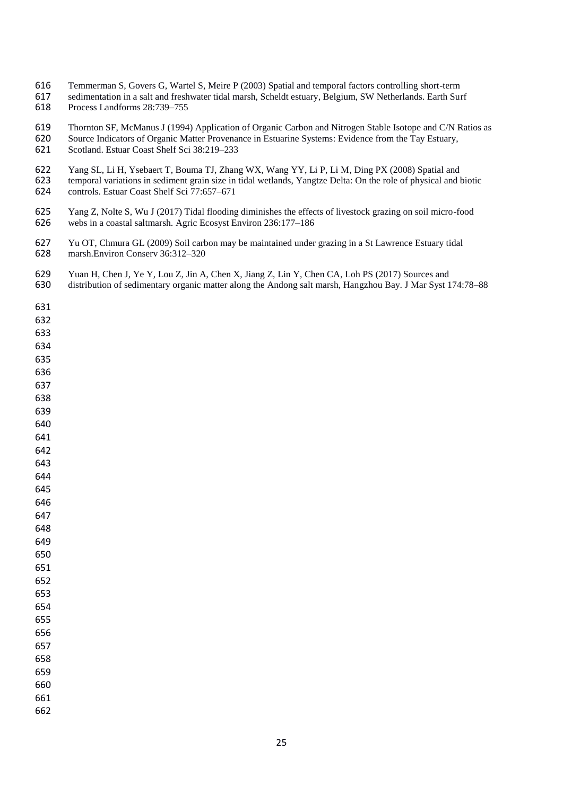- Temmerman S, Govers G, Wartel S, Meire P (2003) Spatial and temporal factors controlling short-term
- 617 sedimentation in a salt and freshwater tidal marsh, Scheldt estuary, Belgium, SW Netherlands. Earth Surf<br>618 Process Landforms 28:739–755 Process Landforms 28:739-755
- 619 Thornton SF, McManus J (1994) Application of Organic Carbon and Nitrogen Stable Isotope and C/N Ratios as<br>620 Source Indicators of Organic Matter Provenance in Estuarine Systems: Evidence from the Tav Estuary.
- 620 Source Indicators of Organic Matter Provenance in Estuarine Systems: Evidence from the Tay Estuary, Scotland. Estuar Coast Shelf Sci 38:219–233 Scotland. Estuar Coast Shelf Sci 38:219–233
- 
- 622 Yang SL, Li H, Ysebaert T, Bouma TJ, Zhang WX, Wang YY, Li P, Li M, Ding PX (2008) Spatial and temporal variations in sediment grain size in tidal wetlands, Yangtze Delta: On the role of physical and l 623 temporal variations in sediment grain size in tidal wetlands, Yangtze Delta: On the role of physical and biotic controls. Estuar Coast Shelf Sci 77:657–671 controls. Estuar Coast Shelf Sci 77:657–671
- 625 Yang Z, Nolte S, Wu J (2017) Tidal flooding diminishes the effects of livestock grazing on soil micro-food<br>626 webs in a coastal saltmarsh. Agric Ecosyst Environ 236:177–186 webs in a coastal saltmarsh. Agric Ecosyst Environ 236:177–186
- Yu OT, Chmura GL (2009) Soil carbon may be maintained under grazing in a St Lawrence Estuary tidal marsh.Environ Conserv 36:312–320
- 629 Yuan H, Chen J, Ye Y, Lou Z, Jin A, Chen X, Jiang Z, Lin Y, Chen CA, Loh PS (2017) Sources and<br>630 distribution of sedimentary organic matter along the Andong salt marsh, Hangzhou Bay. J Mar Syst 1 distribution of sedimentary organic matter along the Andong salt marsh, Hangzhou Bay. J Mar Syst 174:78–88
-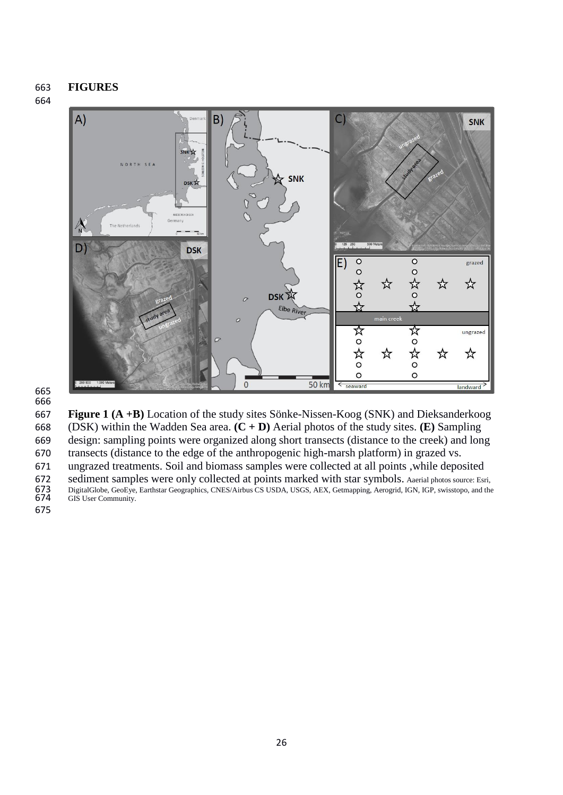## **FIGURES**

## 



#### 

 **Figure 1 (A +B)** Location of the study sites Sönke-Nissen-Koog (SNK) and Dieksanderkoog (DSK) within the Wadden Sea area. **(C + D)** Aerial photos of the study sites. **(E)** Sampling design: sampling points were organized along short transects (distance to the creek) and long transects (distance to the edge of the anthropogenic high-marsh platform) in grazed vs.

ungrazed treatments. Soil and biomass samples were collected at all points ,while deposited

672 sediment samples were only collected at points marked with star symbols. Aaerial photos source: Esri,<br>673 DigitalGlobe, GeoEye, Earthstar Geographics, CNES/Airbus CS USDA, USGS, AEX, Getmapping, Aerogrid, IGN, IGP, swi DigitalGlobe, GeoEye, Earthstar Geographics, CNES/Airbus CS USDA, USGS, AEX, Getmapping, Aerogrid, IGN, IGP, swisstopo, and the GIS User Community.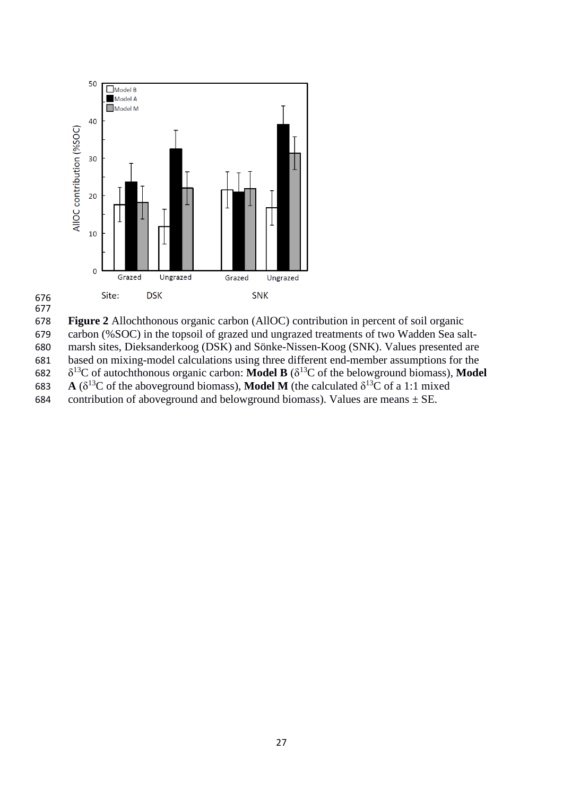



**Figure 2** Allochthonous organic carbon (AllOC) contribution in percent of soil organic

 carbon (%SOC) in the topsoil of grazed und ungrazed treatments of two Wadden Sea salt-marsh sites, Dieksanderkoog (DSK) and Sönke-Nissen-Koog (SNK). Values presented are

based on mixing-model calculations using three different end-member assumptions for the

682  $\delta^{13}$ C of autochthonous organic carbon: **Model B** ( $\delta^{13}$ C of the belowground biomass), **Model** 

683 A ( $\delta^{13}$ C of the aboveground biomass), **Model M** (the calculated  $\delta^{13}$ C of a 1:1 mixed

684 contribution of aboveground and belowground biomass). Values are means  $\pm$  SE.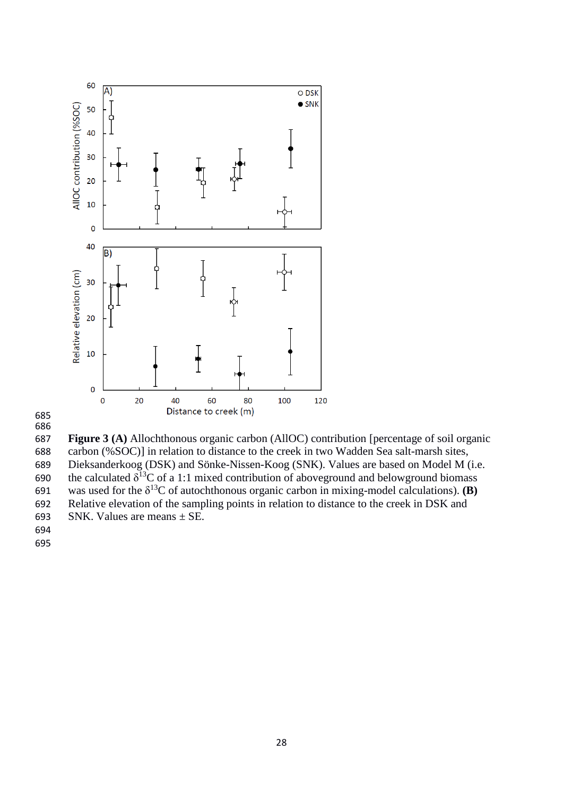



 **Figure 3 (A)** Allochthonous organic carbon (AllOC) contribution [percentage of soil organic carbon (%SOC)] in relation to distance to the creek in two Wadden Sea salt-marsh sites, Dieksanderkoog (DSK) and Sönke-Nissen-Koog (SNK). Values are based on Model M (i.e. 690 the calculated  $\delta^{13}C$  of a 1:1 mixed contribution of aboveground and belowground biomass 691 was used for the  $\delta^{13}$ C of autochthonous organic carbon in mixing-model calculations). **(B)**  Relative elevation of the sampling points in relation to distance to the creek in DSK and 693 SNK. Values are means  $\pm$  SE.

- 
-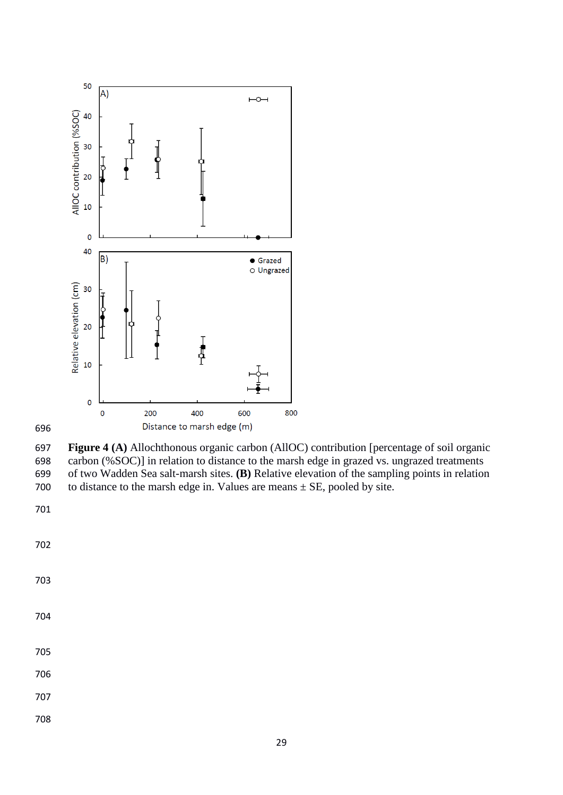

 **Figure 4 (A)** Allochthonous organic carbon (AllOC) contribution [percentage of soil organic carbon (%SOC)] in relation to distance to the marsh edge in grazed vs. ungrazed treatments of two Wadden Sea salt-marsh sites. **(B)** Relative elevation of the sampling points in relation 700 to distance to the marsh edge in. Values are means  $\pm$  SE, pooled by site.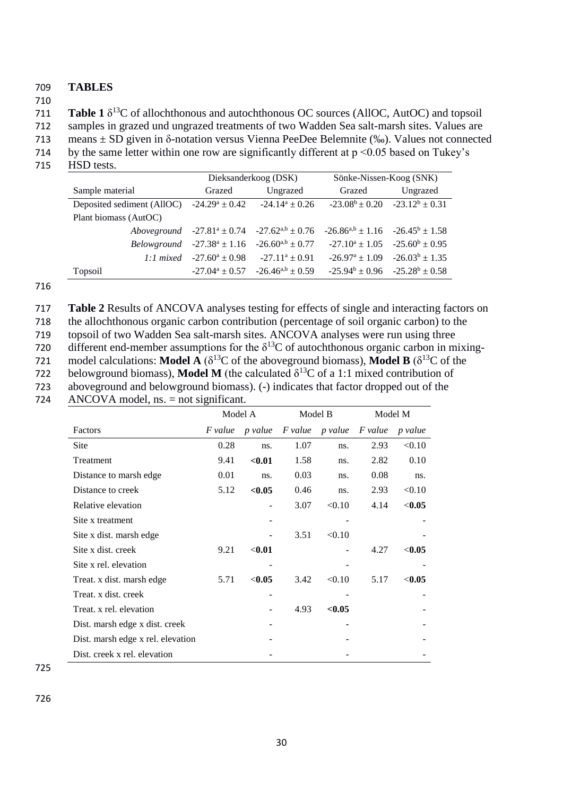## 709 **TABLES**

710

**Table 1**  $\delta^{13}$ C of allochthonous and autochthonous OC sources (AllOC, AutOC) and topsoil

712 samples in grazed und ungrazed treatments of two Wadden Sea salt-marsh sites. Values are

713 means ± SD given in δ-notation versus Vienna PeeDee Belemnite (‰). Values not connected

714 by the same letter within one row are significantly different at  $p \le 0.05$  based on Tukey's 715 HSD tests.

|                            |                     | Dieksanderkoog (DSK)                                                                                | Sönke-Nissen-Koog (SNK)                 |                                         |  |
|----------------------------|---------------------|-----------------------------------------------------------------------------------------------------|-----------------------------------------|-----------------------------------------|--|
| Sample material            | Grazed              | Ungrazed                                                                                            | Grazed                                  | Ungrazed                                |  |
| Deposited sediment (AllOC) |                     | $-24.29^a \pm 0.42$ $-24.14^a \pm 0.26$                                                             | $-23.08^b \pm 0.20$ $-23.12^b \pm 0.31$ |                                         |  |
| Plant biomass (AutOC)      |                     |                                                                                                     |                                         |                                         |  |
|                            |                     | Aboveground $-27.81^a \pm 0.74$ $-27.62^{a,b} \pm 0.76$ $-26.86^{a,b} \pm 1.16$ $-26.45^b \pm 1.58$ |                                         |                                         |  |
|                            |                     | <i>Belowground</i> $-27.38^a \pm 1.16$ $-26.60^{a,b} \pm 0.77$                                      | $-27.10^a \pm 1.05$ $-25.60^b \pm 0.95$ |                                         |  |
| $1:1$ mixed                | $-27.60^a \pm 0.98$ | $-27.11^a \pm 0.91$                                                                                 |                                         | $-26.97^a \pm 1.09$ $-26.03^b \pm 1.35$ |  |
| Topsoil                    |                     | $-27.04^a \pm 0.57$ $-26.46^{a,b} \pm 0.59$                                                         | $-25.94^b \pm 0.96$ $-25.28^b \pm 0.58$ |                                         |  |

# 716

717 **Table 2** Results of ANCOVA analyses testing for effects of single and interacting factors on 718 the allochthonous organic carbon contribution (percentage of soil organic carbon) to the 719 topsoil of two Wadden Sea salt-marsh sites. ANCOVA analyses were run using three 720 different end-member assumptions for the  $\delta^{13}$ C of autochthonous organic carbon in mixingmodel calculations: **Model A** ( $\delta^{13}$ C of the aboveground biomass), **Model B** ( $\delta^{13}$ C of the 722 belowground biomass), **Model M** (the calculated  $\delta^{13}$ C of a 1:1 mixed contribution of 723 aboveground and belowground biomass). (-) indicates that factor dropped out of the

| 724 | $\triangle NCOVA$ model, ns. = not significant. |  |
|-----|-------------------------------------------------|--|
|-----|-------------------------------------------------|--|

|                                   | Model A        |          | Model B        |         | Model M        |          |
|-----------------------------------|----------------|----------|----------------|---------|----------------|----------|
| Factors                           | <i>F</i> value | p value  | <i>F</i> value | p value | <i>F</i> value | p value  |
| Site                              | 0.28           | ns.      | 1.07           | ns.     | 2.93           | < 0.10   |
| Treatment                         | 9.41           | $0.01$   | 1.58           | ns.     | 2.82           | 0.10     |
| Distance to marsh edge            | 0.01           | ns.      | 0.03           | ns.     | 0.08           | ns.      |
| Distance to creek                 | 5.12           | < 0.05   | 0.46           | ns.     | 2.93           | < 0.10   |
| Relative elevation                |                |          | 3.07           | < 0.10  | 4.14           | < 0.05   |
| Site x treatment                  |                |          |                |         |                |          |
| Site x dist. marsh edge           |                |          | 3.51           | < 0.10  |                |          |
| Site x dist. creek                | 9.21           | $<$ 0.01 |                |         | 4.27           | $<$ 0.05 |
| Site x rel. elevation             |                |          |                |         |                |          |
| Treat. x dist. marsh edge         | 5.71           | < 0.05   | 3.42           | < 0.10  | 5.17           | < 0.05   |
| Treat. x dist. creek              |                |          |                |         |                |          |
| Treat. x rel. elevation           |                |          | 4.93           | < 0.05  |                |          |
| Dist. marsh edge x dist. creek    |                |          |                |         |                |          |
| Dist. marsh edge x rel. elevation |                |          |                |         |                |          |
| Dist. creek x rel. elevation      |                |          |                |         |                |          |

725